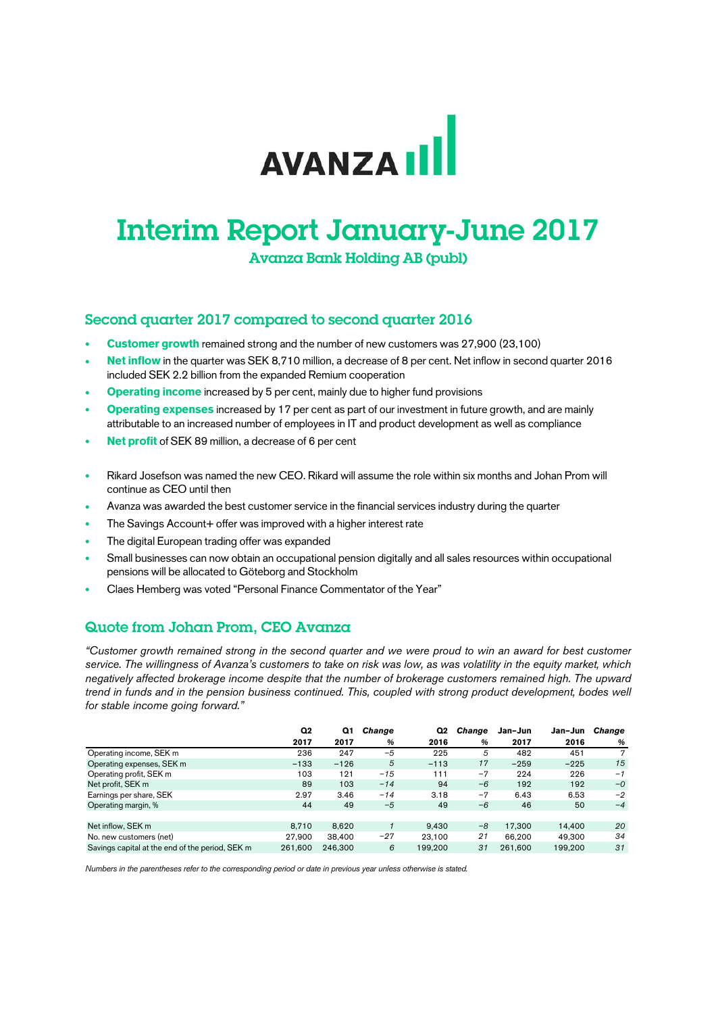# **AVANZAIL**

## Interim Report January-June 2017

Avanza Bank Holding AB (publ)

#### Second quarter 2017 compared to second quarter 2016

- **Customer growth** remained strong and the number of new customers was 27,900 (23,100)
- **Net inflow** in the quarter was SEK 8,710 million, a decrease of 8 per cent. Net inflow in second quarter 2016 included SEK 2.2 billion from the expanded Remium cooperation
- **Operating income** increased by 5 per cent, mainly due to higher fund provisions
- **Operating expenses** increased by 17 per cent as part of our investment in future growth, and are mainly attributable to an increased number of employees in IT and product development as well as compliance
- **Net profit** of SEK 89 million, a decrease of 6 per cent
- Rikard Josefson was named the new CEO. Rikard will assume the role within six months and Johan Prom will continue as CEO until then
- Avanza was awarded the best customer service in the financial services industry during the quarter
- The Savings Account+ offer was improved with a higher interest rate
- The digital European trading offer was expanded
- Small businesses can now obtain an occupational pension digitally and all sales resources within occupational pensions will be allocated to Göteborg and Stockholm
- Claes Hemberg was voted "Personal Finance Commentator of the Year"

### Quote from Johan Prom, CEO Avanza

*"Customer growth remained strong in the second quarter and we were proud to win an award for best customer service. The willingness of Avanza's customers to take on risk was low, as was volatility in the equity market, which negatively affected brokerage income despite that the number of brokerage customers remained high. The upward trend in funds and in the pension business continued. This, coupled with strong product development, bodes well for stable income going forward."* 

|                                                 | Q2      | Q1      | Change | Q2      | Change | Jan-Jun | Jan-Jun | Change |
|-------------------------------------------------|---------|---------|--------|---------|--------|---------|---------|--------|
|                                                 | 2017    | 2017    | %      | 2016    | %      | 2017    | 2016    | %      |
| Operating income, SEK m                         | 236     | 247     | $-5$   | 225     | 5      | 482     | 451     |        |
| Operating expenses, SEK m                       | $-133$  | $-126$  | 5      | $-113$  | 17     | $-259$  | $-225$  | 15     |
| Operating profit, SEK m                         | 103     | 121     | $-15$  | 111     | $-7$   | 224     | 226     | $-1$   |
| Net profit, SEK m                               | 89      | 103     | $-14$  | 94      | $-6$   | 192     | 192     | $-0$   |
| Earnings per share, SEK                         | 2.97    | 3.46    | $-14$  | 3.18    | $-7$   | 6.43    | 6.53    | $-2$   |
| Operating margin, %                             | 44      | 49      | $-5$   | 49      | $-6$   | 46      | 50      | $-4$   |
|                                                 |         |         |        |         |        |         |         |        |
| Net inflow. SEK m                               | 8.710   | 8.620   |        | 9.430   | $-8$   | 17.300  | 14.400  | 20     |
| No. new customers (net)                         | 27.900  | 38,400  | $-27$  | 23.100  | 21     | 66.200  | 49.300  | 34     |
| Savings capital at the end of the period, SEK m | 261.600 | 246,300 | 6      | 199.200 | 31     | 261.600 | 199.200 | 31     |

*Numbers in the parentheses refer to the corresponding period or date in previous year unless otherwise is stated.*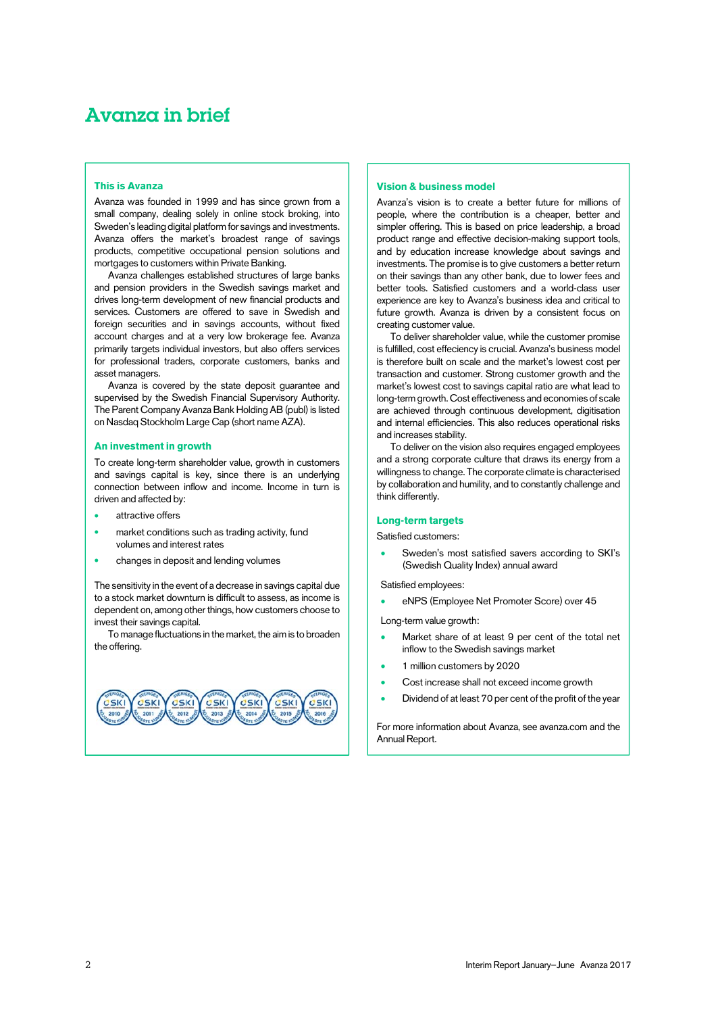### Avanza in brief

#### **This is Avanza**

Avanza was founded in 1999 and has since grown from a small company, dealing solely in online stock broking, into Sweden's leading digital platform for savings and investments. Avanza offers the market's broadest range of savings products, competitive occupational pension solutions and mortgages to customers within Private Banking.

Avanza challenges established structures of large banks and pension providers in the Swedish savings market and drives long-term development of new financial products and services. Customers are offered to save in Swedish and foreign securities and in savings accounts, without fixed account charges and at a very low brokerage fee. Avanza primarily targets individual investors, but also offers services for professional traders, corporate customers, banks and asset managers.

Avanza is covered by the state deposit guarantee and supervised by the Swedish Financial Supervisory Authority. The Parent Company Avanza Bank Holding AB (publ) is listed on Nasdaq Stockholm Large Cap (short name AZA).

#### **An investment in growth**

To create long-term shareholder value, growth in customers and savings capital is key, since there is an underlying connection between inflow and income. Income in turn is driven and affected by:

- attractive offers
- market conditions such as trading activity, fund volumes and interest rates
- changes in deposit and lending volumes

The sensitivity in the event of a decrease in savings capital due to a stock market downturn is difficult to assess, as income is dependent on, among other things, how customers choose to invest their savings capital.

To manage fluctuations in the market, the aim is to broaden the offering.



#### **Vision & business model**

Avanza's vision is to create a better future for millions of people, where the contribution is a cheaper, better and simpler offering. This is based on price leadership, a broad product range and effective decision-making support tools, and by education increase knowledge about savings and investments. The promise is to give customers a better return on their savings than any other bank, due to lower fees and better tools. Satisfied customers and a world-class user experience are key to Avanza's business idea and critical to future growth. Avanza is driven by a consistent focus on creating customer value.

To deliver shareholder value, while the customer promise is fulfilled, cost effeciency is crucial. Avanza's business model is therefore built on scale and the market's lowest cost per transaction and customer. Strong customer growth and the market's lowest cost to savings capital ratio are what lead to long-term growth. Cost effectiveness and economies of scale are achieved through continuous development, digitisation and internal efficiencies. This also reduces operational risks and increases stability.

To deliver on the vision also requires engaged employees and a strong corporate culture that draws its energy from a willingness to change. The corporate climate is characterised by collaboration and humility, and to constantly challenge and think differently.

#### **Long-term targets**

Satisfied customers:

 Sweden's most satisfied savers according to SKI's (Swedish Quality Index) annual award

Satisfied employees:

eNPS (Employee Net Promoter Score) over 45

Long-term value growth:

- Market share of at least 9 per cent of the total net inflow to the Swedish savings market
- 1 million customers by 2020
- Cost increase shall not exceed income growth
- Dividend of at least 70 per cent of the profit of the year

For more information about Avanza, see [avanza.com](http://investors.avanza.se/en) and the [Annual Report.](http://investors.avanza.se/en/avanza-publishes-annual-report-2016)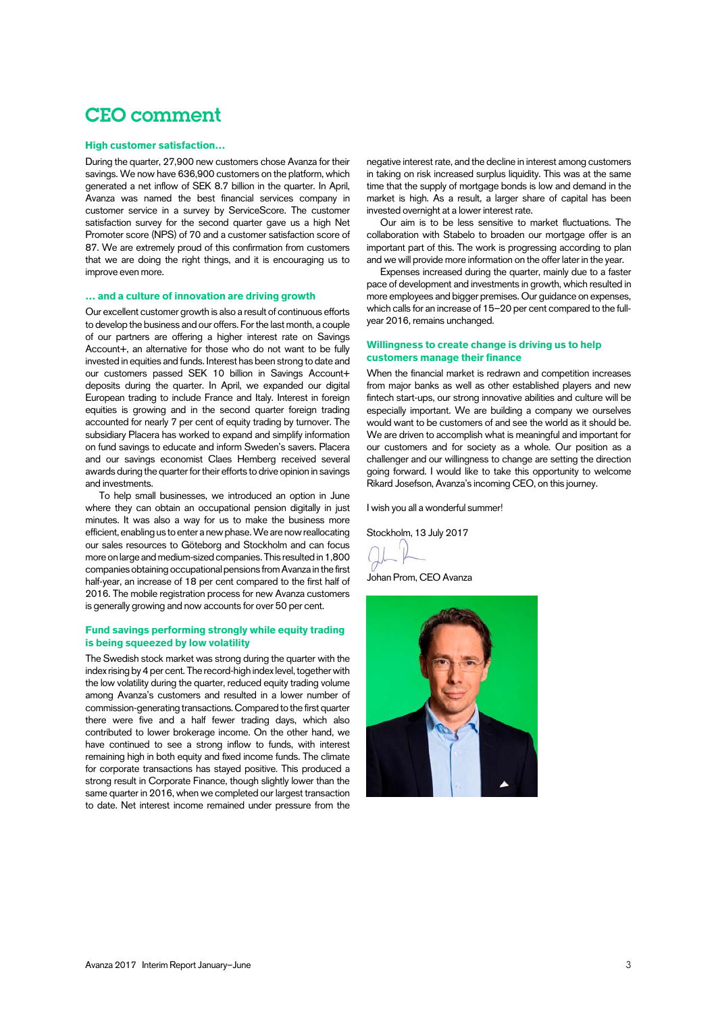### CEO comment

#### **High customer satisfaction…**

During the quarter, 27,900 new customers chose Avanza for their savings. We now have 636,900 customers on the platform, which generated a net inflow of SEK 8.7 billion in the quarter. In April, Avanza was named the best financial services company in customer service in a survey by ServiceScore. The customer satisfaction survey for the second quarter gave us a high Net Promoter score (NPS) of 70 and a customer satisfaction score of 87. We are extremely proud of this confirmation from customers that we are doing the right things, and it is encouraging us to improve even more.

#### **… and a culture of innovation are driving growth**

Our excellent customer growth is also a result of continuous efforts to develop the business and our offers. For the last month, a couple of our partners are offering a higher interest rate on Savings Account+, an alternative for those who do not want to be fully invested in equities and funds. Interest has been strong to date and our customers passed SEK 10 billion in Savings Account+ deposits during the quarter. In April, we expanded our digital European trading to include France and Italy. Interest in foreign equities is growing and in the second quarter foreign trading accounted for nearly 7 per cent of equity trading by turnover. The subsidiary Placera has worked to expand and simplify information on fund savings to educate and inform Sweden's savers. Placera and our savings economist Claes Hemberg received several awards during the quarter for their efforts to drive opinion in savings and investments.

To help small businesses, we introduced an option in June where they can obtain an occupational pension digitally in just minutes. It was also a way for us to make the business more efficient, enabling us to enter a new phase. We are now reallocating our sales resources to Göteborg and Stockholm and can focus more on large and medium-sized companies. This resulted in 1,800 companies obtaining occupational pensions from Avanza in the first half-year, an increase of 18 per cent compared to the first half of 2016. The mobile registration process for new Avanza customers is generally growing and now accounts for over 50 per cent.

#### **Fund savings performing strongly while equity trading is being squeezed by low volatility**

The Swedish stock market was strong during the quarter with the index rising by 4 per cent. The record-high index level, together with the low volatility during the quarter, reduced equity trading volume among Avanza's customers and resulted in a lower number of commission-generating transactions. Compared to the first quarter there were five and a half fewer trading days, which also contributed to lower brokerage income. On the other hand, we have continued to see a strong inflow to funds, with interest remaining high in both equity and fixed income funds. The climate for corporate transactions has stayed positive. This produced a strong result in Corporate Finance, though slightly lower than the same quarter in 2016, when we completed our largest transaction to date. Net interest income remained under pressure from the

negative interest rate, and the decline in interest among customers in taking on risk increased surplus liquidity. This was at the same time that the supply of mortgage bonds is low and demand in the market is high. As a result, a larger share of capital has been invested overnight at a lower interest rate.

Our aim is to be less sensitive to market fluctuations. The collaboration with Stabelo to broaden our mortgage offer is an important part of this. The work is progressing according to plan and we will provide more information on the offer later in the year.

Expenses increased during the quarter, mainly due to a faster pace of development and investments in growth, which resulted in more employees and bigger premises. Our guidance on expenses, which calls for an increase of 15–20 per cent compared to the fullyear 2016, remains unchanged.

#### **Willingness to create change is driving us to help customers manage their finance**

When the financial market is redrawn and competition increases from major banks as well as other established players and new fintech start-ups, our strong innovative abilities and culture will be especially important. We are building a company we ourselves would want to be customers of and see the world as it should be. We are driven to accomplish what is meaningful and important for our customers and for society as a whole. Our position as a challenger and our willingness to change are setting the direction going forward. I would like to take this opportunity to welcome Rikard Josefson, Avanza's incoming CEO, on this journey.

I wish you all a wonderful summer!

Stockholm, 13 July 2017

Johan Prom, CEO Avanza

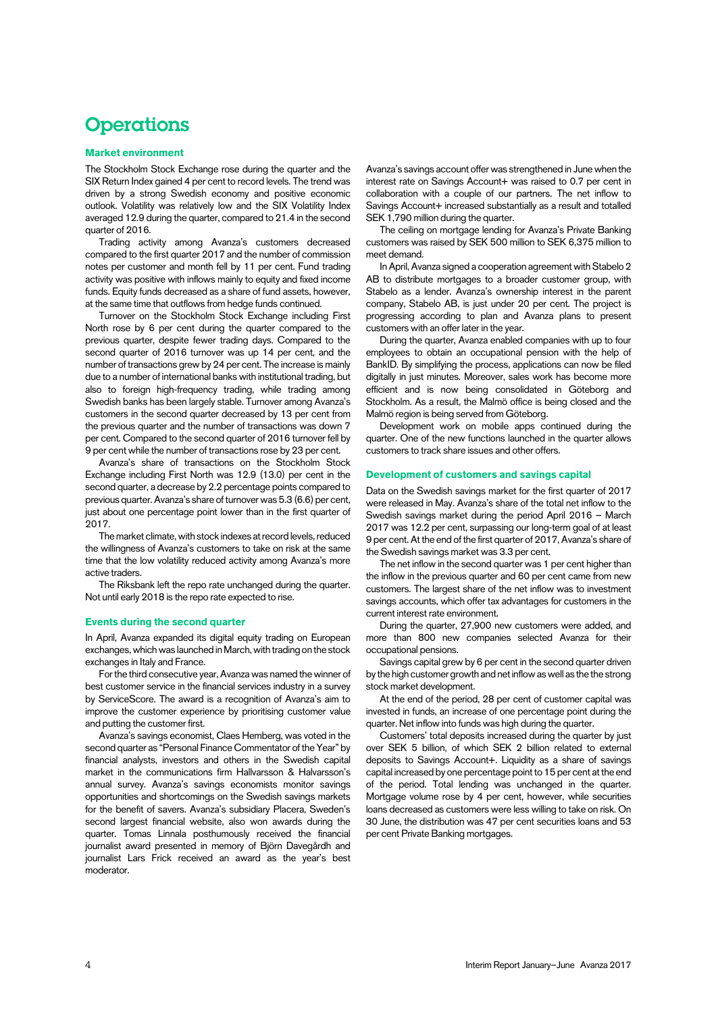### **Operations**

#### **Market environment**

The Stockholm Stock Exchange rose during the quarter and the SIX Return Index gained 4 per cent to record levels. The trend was driven by a strong Swedish economy and positive economic outlook. Volatility was relatively low and the SIX Volatility Index averaged 12.9 during the quarter, compared to 21.4 in the second quarter of 2016.

Trading activity among Avanza's customers decreased compared to the first quarter 2017 and the number of commission notes per customer and month fell by 11 per cent. Fund trading activity was positive with inflows mainly to equity and fixed income funds. Equity funds decreased as a share of fund assets, however, at the same time that outflows from hedge funds continued.

Turnover on the Stockholm Stock Exchange including First North rose by 6 per cent during the quarter compared to the previous quarter, despite fewer trading days. Compared to the second quarter of 2016 turnover was up 14 per cent, and the number of transactions grew by 24 per cent. The increase is mainly due to a number of international banks with institutional trading, but also to foreign high-frequency trading, while trading among Swedish banks has been largely stable. Turnover among Avanza's customers in the second quarter decreased by 13 per cent from the previous quarter and the number of transactions was down 7 per cent. Compared to the second quarter of 2016 turnover fell by 9 per cent while the number of transactions rose by 23 per cent.

Avanza's share of transactions on the Stockholm Stock Exchange including First North was 12.9 (13.0) per cent in the second quarter, a decrease by 2.2 percentage points compared to previous quarter. Avanza's share of turnover was 5.3 (6.6) per cent, just about one percentage point lower than in the first quarter of 2017.

The market climate, with stock indexes at record levels, reduced the willingness of Avanza's customers to take on risk at the same time that the low volatility reduced activity among Avanza's more active traders.

The Riksbank left the repo rate unchanged during the quarter. Not until early 2018 is the repo rate expected to rise.

#### **Events during the second quarter**

In April, Avanza expanded its digital equity trading on European exchanges, which was launched in March, with trading on the stock exchanges in Italy and France.

For the third consecutive year, Avanza was named the winner of best customer service in the financial services industry in a survey by ServiceScore. The award is a recognition of Avanza's aim to improve the customer experience by prioritising customer value and putting the customer first.

Avanza's savings economist, Claes Hemberg, was voted in the second quarter as "Personal Finance Commentator of the Year" by financial analysts, investors and others in the Swedish capital market in the communications firm Hallvarsson & Halvarsson's annual survey. Avanza's savings economists monitor savings opportunities and shortcomings on the Swedish savings markets for the benefit of savers. Avanza's subsidiary Placera, Sweden's second largest financial website, also won awards during the quarter. Tomas Linnala posthumously received the financial journalist award presented in memory of Björn Davegårdh and journalist Lars Frick received an award as the year's best moderator.

Avanza's savings account offer was strengthened in June when the interest rate on Savings Account+ was raised to 0.7 per cent in collaboration with a couple of our partners. The net inflow to Savings Account+ increased substantially as a result and totalled SEK 1,790 million during the quarter.

The ceiling on mortgage lending for Avanza's Private Banking customers was raised by SEK 500 million to SEK 6,375 million to meet demand.

In April, Avanza signed a cooperation agreement with Stabelo 2 AB to distribute mortgages to a broader customer group, with Stabelo as a lender. Avanza's ownership interest in the parent company, Stabelo AB, is just under 20 per cent. The project is progressing according to plan and Avanza plans to present customers with an offer later in the year.

During the quarter, Avanza enabled companies with up to four employees to obtain an occupational pension with the help of BankID. By simplifying the process, applications can now be filed digitally in just minutes. Moreover, sales work has become more efficient and is now being consolidated in Göteborg and Stockholm. As a result, the Malmö office is being closed and the Malmö region is being served from Göteborg.

Development work on mobile apps continued during the quarter. One of the new functions launched in the quarter allows customers to track share issues and other offers.

#### **Development of customers and savings capital**

Data on the Swedish savings market for the first quarter of 2017 were released in May. Avanza's share of the total net inflow to the Swedish savings market during the period April 2016 – March 2017 was 12.2 per cent, surpassing our long-term goal of at least 9 per cent. At the end of the first quarter of 2017, Avanza's share of the Swedish savings market was 3.3 per cent.

The net inflow in the second quarter was 1 per cent higher than the inflow in the previous quarter and 60 per cent came from new customers. The largest share of the net inflow was to investment savings accounts, which offer tax advantages for customers in the current interest rate environment.

During the quarter, 27,900 new customers were added, and more than 800 new companies selected Avanza for their occupational pensions.

Savings capital grew by 6 per cent in the second quarter driven by the high customer growth and net inflow as well as the the strong stock market development.

At the end of the period, 28 per cent of customer capital was invested in funds, an increase of one percentage point during the quarter. Net inflow into funds was high during the quarter.

Customers' total deposits increased during the quarter by just over SEK 5 billion, of which SEK 2 billion related to external deposits to Savings Account+. Liquidity as a share of savings capital increased by one percentage point to 15 per cent at the end of the period. Total lending was unchanged in the quarter. Mortgage volume rose by 4 per cent, however, while securities loans decreased as customers were less willing to take on risk. On 30 June, the distribution was 47 per cent securities loans and 53 per cent Private Banking mortgages.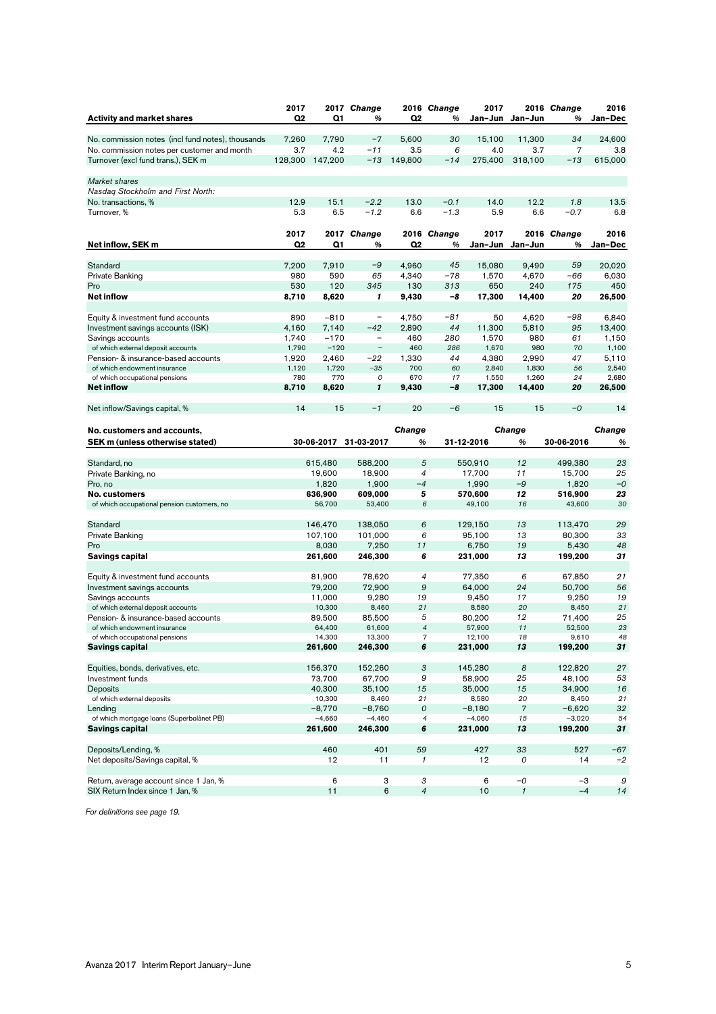|                                                                        | 2017           |                  | 2017 Change              |                 | 2016 Change    | 2017             |                            | 2016 Change      | 2016     |
|------------------------------------------------------------------------|----------------|------------------|--------------------------|-----------------|----------------|------------------|----------------------------|------------------|----------|
| <b>Activity and market shares</b>                                      | Q <sub>2</sub> | Q1               | %                        | Q2              | %              |                  | Jan-Jun Jan-Jun            | %                | Jan-Dec  |
|                                                                        |                |                  |                          |                 |                |                  |                            |                  |          |
| No. commission notes (incl fund notes), thousands                      | 7.260          | 7.790            | $-7$                     | 5.600           | 30             | 15.100           | 11,300                     | 34               | 24.600   |
| No. commission notes per customer and month                            | 3.7            | 4.2              | $-11$                    | 3.5             | 6              | 4.0              | 3.7                        | 7                | 3.8      |
| Turnover (excl fund trans.), SEK m                                     |                | 128,300 147,200  | $-13$                    | 149,800         | $-14$          | 275,400          | 318,100                    | $-13$            | 615,000  |
| Market shares                                                          |                |                  |                          |                 |                |                  |                            |                  |          |
| Nasdag Stockholm and First North:                                      |                |                  |                          |                 |                |                  |                            |                  |          |
| No. transactions, %                                                    | 12.9           | 15.1             | $-2.2$                   | 13.0            | $-0.1$         | 14.0             | 12.2                       | 1.8              | 13.5     |
| Turnover, %                                                            | 5.3            | 6.5              | $-1.2$                   | 6.6             | $-1.3$         | 5.9              | 6.6                        | $-0.7$           | 6.8      |
|                                                                        |                |                  |                          |                 |                |                  |                            |                  |          |
|                                                                        | 2017           | 2017             | <b>Change</b>            |                 | 2016 Change    | 2017             |                            | 2016 Change      | 2016     |
| Net inflow, SEK m                                                      | Q <sub>2</sub> | Q1               | %                        | Q <sub>2</sub>  | %              | Jan-Jun          | Jan-Jun                    | %                | Jan-Dec  |
|                                                                        |                |                  |                          |                 |                |                  |                            |                  |          |
| Standard                                                               | 7,200          | 7,910            | $-9$                     | 4,960           | 45             | 15,080           | 9,490                      | 59               | 20.020   |
| Private Banking                                                        | 980            | 590              | 65                       | 4,340           | $-78$          | 1,570            | 4,670                      | -66              | 6,030    |
| Pro                                                                    | 530            | 120              | 345                      | 130             | 313            | 650              | 240                        | 175              | 450      |
| <b>Net inflow</b>                                                      | 8,710          | 8,620            | 1                        | 9,430           | -8             | 17,300           | 14,400                     | 20               | 26,500   |
|                                                                        | 890            | $-810$           | $\qquad \qquad -$        | 4,750           | -81            | 50               | 4,620                      | -98              | 6,840    |
| Equity & investment fund accounts<br>Investment savings accounts (ISK) | 4,160          | 7,140            | $-42$                    | 2,890           | 44             | 11,300           | 5,810                      | 95               | 13,400   |
| Savings accounts                                                       | 1,740          | $-170$           | $\overline{\phantom{a}}$ | 460             | 280            | 1,570            | 980                        | 61               | 1,150    |
| of which external deposit accounts                                     | 1,790          | $-120$           | $\overline{a}$           | 460             | 286            | 1,670            | 980                        | 70               | 1,100    |
| Pension- & insurance-based accounts                                    | 1,920          | 2,460            | $-22$                    | 1,330           | 44             | 4,380            | 2,990                      | 47               | 5,110    |
| of which endowment insurance                                           | 1,120          | 1,720            | $-35$                    | 700             | 60             | 2,840            | 1,830                      | 56               | 2,540    |
| of which occupational pensions                                         | 780            | 770              | $\cal O$                 | 670             | 17             | 1,550            | 1,260                      | 24               | 2,680    |
| <b>Net inflow</b>                                                      | 8,710          | 8,620            | 1                        | 9,430           | -8             | 17,300           | 14,400                     | 20               | 26,500   |
|                                                                        |                |                  |                          |                 |                |                  |                            |                  |          |
| Net inflow/Savings capital, %                                          | 14             | 15               | $-1$                     | 20              | $-6$           | 15               | 15                         | $-0$             | 14       |
|                                                                        |                |                  |                          |                 |                |                  |                            |                  |          |
| No. customers and accounts,                                            |                |                  |                          | <b>Change</b>   |                |                  | Change                     |                  | Change   |
| <b>SEK m (unless otherwise stated)</b>                                 |                | 30-06-2017       | 31-03-2017               | %               |                | 31-12-2016       | %                          | 30-06-2016       | %        |
|                                                                        |                | 615,480          | 588,200                  | 5               |                | 550,910          | 12                         | 499,380          | 23       |
| Standard, no<br>Private Banking, no                                    |                | 19,600           | 18,900                   | $\overline{4}$  |                | 17,700           | 11                         | 15,700           | 25       |
| Pro, no                                                                |                | 1,820            | 1,900                    | $-4$            |                | 1,990            | $-9$                       | 1,820            | $-0$     |
| <b>No. customers</b>                                                   |                | 636,900          | 609,000                  | 5               |                | 570,600          | 12                         | 516,900          | 23       |
| of which occupational pension customers, no                            |                | 56,700           | 53,400                   |                 | 6              | 49,100           | 16                         | 43,600           | 30       |
|                                                                        |                |                  |                          |                 |                |                  |                            |                  |          |
| Standard                                                               |                | 146,470          | 138,050                  | 6               |                | 129,150          | 13                         | 113,470          | 29       |
| Private Banking                                                        |                | 107,100          | 101,000                  |                 | 6              | 95,100           | 13                         | 80,300           | 33       |
| Pro                                                                    |                | 8,030            | 7,250                    | 11              |                | 6,750            | 19                         | 5,430            | 48       |
| <b>Savings capital</b>                                                 |                | 261,600          | 246,300                  | 6               |                | 231,000          | 13                         | 199,200          | 31       |
|                                                                        |                |                  |                          |                 |                |                  |                            |                  |          |
| Equity & investment fund accounts                                      |                | 81,900<br>79,200 | 78,620                   | 4<br>9          |                | 77,350<br>64,000 | 6<br>24                    | 67,850           | 21<br>56 |
| Investment savings accounts<br>Savings accounts                        |                | 11,000           | 72,900<br>9,280          | 19              |                | 9,450            | 17                         | 50,700<br>9,250  | 19       |
| of which external deposit accounts                                     |                | 10,300           | 8,460                    | 21              |                | 8,580            | 20                         | 8,450            | 21       |
| Pension- & insurance-based accounts                                    |                | 89,500           | 85,500                   | 5               |                | 80,200           | 12                         | 71,400           | 25       |
| of which endowment insurance                                           |                | 64,400           | 61,600                   |                 | $\overline{4}$ | 57,900           | 11                         | 52,500           | 23       |
| of which occupational pensions                                         |                | 14,300           | 13,300                   |                 | 7              | 12,100           | 18                         | 9,610            | 48       |
| <b>Savings capital</b>                                                 |                | 261,600          | 246,300                  | 6               |                | 231,000          | 13                         | 199,200          | 31       |
|                                                                        |                |                  |                          |                 |                |                  |                            |                  |          |
| Equities, bonds, derivatives, etc.                                     |                | 156,370          | 152,260                  | $\sqrt{3}$<br>9 |                | 145,280          | 8                          | 122,820          | 27       |
| Investment funds<br>Deposits                                           |                | 73,700<br>40,300 | 67,700<br>35,100         | 15              |                | 58,900<br>35,000 | 25<br>15                   | 48,100<br>34,900 | 53<br>16 |
| of which external deposits                                             |                | 10,300           | 8,460                    | 21              |                | 8,580            | 20                         | 8,450            | 21       |
| Lending                                                                |                | $-8.770$         | $-8,760$                 |                 | 0              | $-8,180$         | $\boldsymbol{7}$           | $-6,620$         | 32       |
| of which mortgage loans (Superbolånet PB)                              |                | $-4,660$         | $-4,460$                 |                 | 4              | $-4,060$         | 15                         | $-3,020$         | 54       |
| <b>Savings capital</b>                                                 |                | 261,600          | 246,300                  | 6               |                | 231,000          | 13                         | 199,200          | 31       |
|                                                                        |                |                  |                          |                 |                |                  |                            |                  |          |
| Deposits/Lending, %                                                    |                | 460              | 401                      | 59              |                | 427              | 33                         | 527              | $-67$    |
| Net deposits/Savings capital, %                                        |                | 12               | 11                       | $\mathbf{1}$    |                | 12               | 0                          | 14               | $-2$     |
|                                                                        |                |                  |                          |                 |                |                  |                            |                  |          |
| Return, average account since 1 Jan, %                                 |                | 6                | 3                        | 3               |                | 6                | $-0$                       | $-3$             | 9        |
| SIX Return Index since 1 Jan, %                                        |                | 11               | 6                        |                 | 4              | 10               | $\boldsymbol{\mathcal{I}}$ | $-4$             | 14       |

*For definitions see page [19.](#page-18-0)*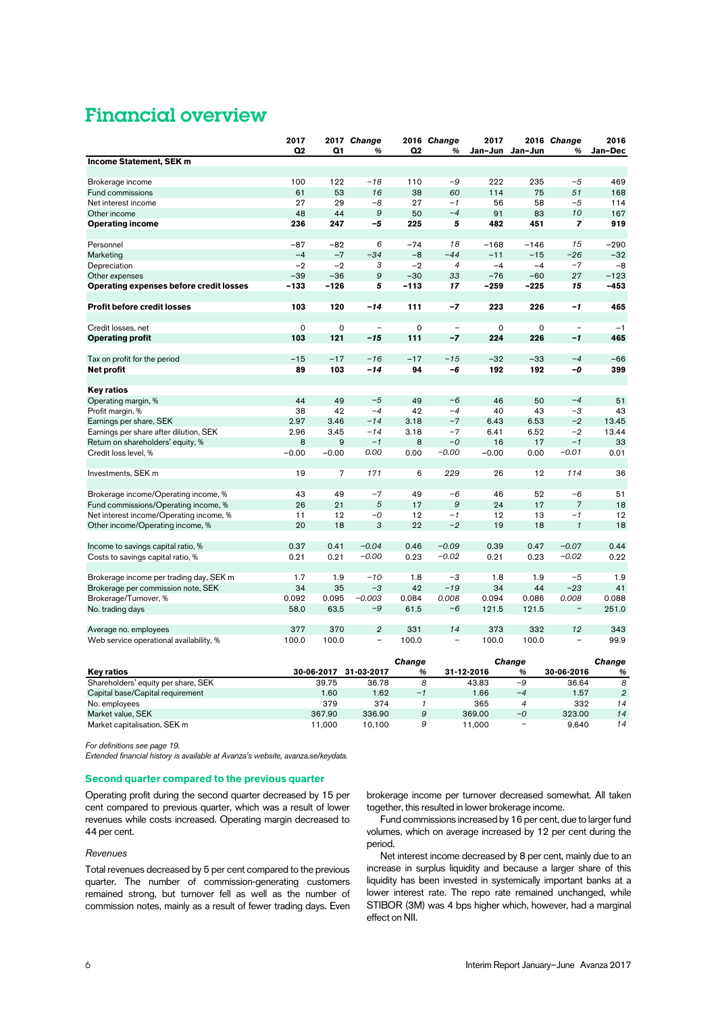### Financial overview

|                                                | 2017        |                | 2017 Change              |             | 2016 Change              | 2017        |                 | 2016 Change              | 2016    |
|------------------------------------------------|-------------|----------------|--------------------------|-------------|--------------------------|-------------|-----------------|--------------------------|---------|
|                                                | Q2          | Q1             | %                        | Q2          | %                        |             | Jan-Jun Jan-Jun | %                        | Jan-Dec |
| Income Statement, SEK m                        |             |                |                          |             |                          |             |                 |                          |         |
|                                                |             |                |                          |             |                          |             |                 |                          |         |
| Brokerage income                               | 100         | 122            | $-18$                    | 110         | $-9$                     | 222         | 235             | $-5$                     | 469     |
| <b>Fund commissions</b>                        | 61          | 53             | 16                       | 38          | 60                       | 114         | 75              | 51                       | 168     |
| Net interest income                            | 27          | 29             | $-8$                     | 27          | $-1$                     | 56          | 58              | $-5$                     | 114     |
| Other income                                   | 48          | 44             | 9                        | 50          | $-4$                     | 91          | 83              | 10                       | 167     |
| <b>Operating income</b>                        | 236         | 247            | -5                       | 225         | 5                        | 482         | 451             | $\overline{z}$           | 919     |
| Personnel                                      | -87         | $-82$          | 6                        | $-74$       | 18                       | $-168$      | $-146$          | 15                       | $-290$  |
| Marketing                                      | $-4$        | $-7$           | $-34$                    | $-8$        | $-44$                    | $-11$       | $-15$           | $-26$                    | $-32$   |
| Depreciation                                   | $-2$        | $-2$           | 3                        | $-2$        | 4                        | $-4$        | $-4$            | $-7$                     | $-8$    |
| Other expenses                                 | $-39$       | $-36$          | $\cal{G}$                | $-30$       | 33                       | $-76$       | $-60$           | 27                       | $-123$  |
| <b>Operating expenses before credit losses</b> | $-133$      | $-126$         | 5                        | -113        | 17                       | $-259$      | -225            | 15                       | $-453$  |
|                                                |             |                |                          |             |                          |             |                 |                          |         |
| <b>Profit before credit losses</b>             | 103         | 120            | $-14$                    | 111         | $-7$                     | 223         | 226             | $-1$                     | 465     |
|                                                |             |                |                          |             |                          |             |                 |                          |         |
| Credit losses, net                             | $\mathbf 0$ | $\mathbf 0$    | $\overline{\phantom{a}}$ | $\mathbf 0$ | $\overline{\phantom{m}}$ | $\mathbf 0$ | $\mathbf 0$     | $\overline{\phantom{a}}$ | $-1$    |
| <b>Operating profit</b>                        | 103         | 121            | $-15$                    | 111         | $-7$                     | 224         | 226             | $-1$                     | 465     |
|                                                |             |                |                          |             |                          |             |                 |                          |         |
| Tax on profit for the period                   | $-15$       | $-17$          | $-16$                    | $-17$       | $-15$                    | $-32$       | $-33$           | $-4$                     | $-66$   |
| Net profit                                     | 89          | 103            | $-14$                    | 94          | $-6$                     | 192         | 192             | -0                       | 399     |
|                                                |             |                |                          |             |                          |             |                 |                          |         |
| <b>Key ratios</b>                              |             |                |                          |             |                          |             |                 |                          |         |
| Operating margin, %                            | 44          | 49             | $-5$                     | 49          | $-6$                     | 46          | 50              | $-4$                     | 51      |
| Profit margin, %                               | 38          | 42             | $-4$                     | 42          | $-4$                     | 40          | 43              | $-3$                     | 43      |
| Earnings per share, SEK                        | 2.97        | 3.46           | $-14$                    | 3.18        | $-7$                     | 6.43        | 6.53            | $-2$                     | 13.45   |
| Earnings per share after dilution, SEK         | 2.96        | 3.45           | $-14$                    | 3.18        | $-7$                     | 6.41        | 6.52            | $-2$                     | 13.44   |
| Return on shareholders' equity, %              | 8           | 9              | $-1$                     | 8           | $-0$                     | 16          | 17              | $-1$                     | 33      |
| Credit loss level, %                           | $-0.00$     | $-0.00$        | 0.00                     | 0.00        | $-0.00$                  | $-0.00$     | 0.00            | $-0.01$                  | 0.01    |
|                                                |             |                |                          |             |                          |             |                 |                          |         |
| Investments, SEK m                             | 19          | $\overline{7}$ | 171                      | 6           | 229                      | 26          | 12              | 114                      | 36      |
|                                                |             |                |                          |             |                          |             |                 |                          |         |
| Brokerage income/Operating income, %           | 43          | 49             | $-7$                     | 49          | $-6$                     | 46          | 52              | $-6$                     | 51      |
| Fund commissions/Operating income, %           | 26          | 21             | 5                        | 17          | 9                        | 24          | 17              | $\overline{7}$           | 18      |
| Net interest income/Operating income, %        | 11          | 12             | $-0$                     | 12          | $-1$                     | 12          | 13              | $-1$                     | 12      |
| Other income/Operating income, %               | 20          | 18             | 3                        | 22          | $-2$                     | 19          | 18              | $\mathcal{I}$            | 18      |
|                                                |             |                |                          |             |                          |             |                 |                          |         |
| Income to savings capital ratio, %             | 0.37        | 0.41           | $-0.04$                  | 0.46        | $-0.09$                  | 0.39        | 0.47            | $-0.07$                  | 0.44    |
| Costs to savings capital ratio, %              | 0.21        | 0.21           | $-0.00$                  | 0.23        | $-0.02$                  | 0.21        | 0.23            | $-0.02$                  | 0.22    |
|                                                |             |                |                          |             |                          |             |                 |                          |         |
| Brokerage income per trading day, SEK m        | 1.7         | 1.9            | $-10$                    | 1.8         | $-3$                     | 1.8         | 1.9             | $-5$                     | 1.9     |
| Brokerage per commission note, SEK             | 34          | 35             | $-3$                     | 42          | $-19$                    | 34          | 44              | $-23$                    | 41      |
| Brokerage/Turnover, %                          | 0.092       | 0.095          | $-0.003$                 | 0.084       | 0.008                    | 0.094       | 0.086           | 0.008                    | 0.088   |
| No. trading days                               | 58.0        | 63.5           | $-9$                     | 61.5        | $-6$                     | 121.5       | 121.5           | $\overline{\phantom{a}}$ | 251.0   |
|                                                |             |                |                          |             |                          |             |                 |                          |         |
| Average no. employees                          | 377         | 370            | $\overline{2}$           | 331         | 14                       | 373         | 332             | 12                       | 343     |
| Web service operational availability, %        | 100.0       | 100.0          | $\overline{\phantom{0}}$ | 100.0       | $\overline{\phantom{0}}$ | 100.0       | 100.0           | $\equiv$                 | 99.9    |

|                                     |            |            | Change |            | Change                   |            | Change         |
|-------------------------------------|------------|------------|--------|------------|--------------------------|------------|----------------|
| <b>Key ratios</b>                   | 30-06-2017 | 31-03-2017 | %      | 31-12-2016 | %                        | 30-06-2016 | %              |
| Shareholders' equity per share, SEK | 39.75      | 36.78      |        | 43.83      | -9                       | 36.64      | 8              |
| Capital base/Capital requirement    | 1.60       | 1.62       | $-1$   | 1.66       | $-4$                     | 1.57       | $\overline{2}$ |
| No. employees                       | 379        | 374        |        | 365        |                          | 332        | 14             |
| Market value, SEK                   | 367.90     | 336.90     | 9      | 369.00     | $-0$                     | 323.00     | 14             |
| Market capitalisation, SEK m        | 11.000     | 10.100     | 9      | 11.000     | $\overline{\phantom{0}}$ | 9.640      | 14             |

*For definitions see page [19.](#page-18-0)* 

*Extended financial history is available at Avanza's website, [avanza.se/keydata.](http://avanza.se/keydata)* 

#### **Second quarter compared to the previous quarter**

Operating profit during the second quarter decreased by 15 per cent compared to previous quarter, which was a result of lower revenues while costs increased. Operating margin decreased to 44 per cent.

#### *Revenues*

Total revenues decreased by 5 per cent compared to the previous quarter. The number of commission-generating customers remained strong, but turnover fell as well as the number of commission notes, mainly as a result of fewer trading days. Even brokerage income per turnover decreased somewhat. All taken together, this resulted in lower brokerage income.

Fund commissions increased by 16 per cent, due to larger fund volumes, which on average increased by 12 per cent during the period.

Net interest income decreased by 8 per cent, mainly due to an increase in surplus liquidity and because a larger share of this liquidity has been invested in systemically important banks at a lower interest rate. The repo rate remained unchanged, while STIBOR (3M) was 4 bps higher which, however, had a marginal effect on NII.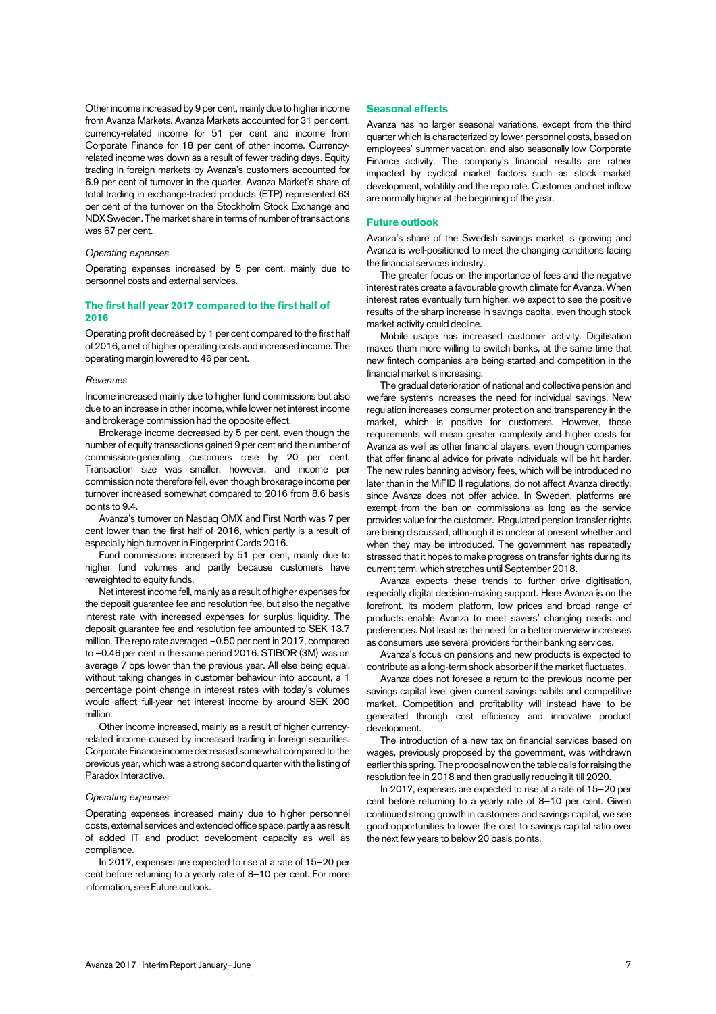Other income increased by 9 per cent, mainly due to higher income from Avanza Markets. Avanza Markets accounted for 31 per cent, currency-related income for 51 per cent and income from Corporate Finance for 18 per cent of other income. Currencyrelated income was down as a result of fewer trading days. Equity trading in foreign markets by Avanza's customers accounted for 6.9 per cent of turnover in the quarter. Avanza Market's share of total trading in exchange-traded products (ETP) represented 63 per cent of the turnover on the Stockholm Stock Exchange and NDX Sweden. The market share in terms of number of transactions was 67 per cent.

#### *Operating expenses*

Operating expenses increased by 5 per cent, mainly due to personnel costs and external services.

#### **The first half year 2017 compared to the first half of 2016**

Operating profit decreased by 1 per cent compared to the first half of 2016, a net of higher operating costs and increased income. The operating margin lowered to 46 per cent.

#### *Revenues*

Income increased mainly due to higher fund commissions but also due to an increase in other income, while lower net interest income and brokerage commission had the opposite effect.

Brokerage income decreased by 5 per cent, even though the number of equity transactions gained 9 per cent and the number of commission-generating customers rose by 20 per cent. Transaction size was smaller, however, and income per commission note therefore fell, even though brokerage income per turnover increased somewhat compared to 2016 from 8.6 basis points to 9.4.

Avanza's turnover on Nasdaq OMX and First North was 7 per cent lower than the first half of 2016, which partly is a result of especially high turnover in Fingerprint Cards 2016.

Fund commissions increased by 51 per cent, mainly due to higher fund volumes and partly because customers have reweighted to equity funds.

Net interest income fell, mainly as a result of higher expenses for the deposit guarantee fee and resolution fee, but also the negative interest rate with increased expenses for surplus liquidity. The deposit guarantee fee and resolution fee amounted to SEK 13.7 million. The repo rate averaged –0.50 per cent in 2017, compared to –0.46 per cent in the same period 2016. STIBOR (3M) was on average 7 bps lower than the previous year. All else being equal, without taking changes in customer behaviour into account, a 1 percentage point change in interest rates with today's volumes would affect full-year net interest income by around SEK 200 million.

Other income increased, mainly as a result of higher currencyrelated income caused by increased trading in foreign securities. Corporate Finance income decreased somewhat compared to the previous year, which was a strong second quarter with the listing of Paradox Interactive.

#### *Operating expenses*

Operating expenses increased mainly due to higher personnel costs, external services and extended office space, partly a as result of added IT and product development capacity as well as compliance.

In 2017, expenses are expected to rise at a rate of 15–20 per cent before returning to a yearly rate of 8–10 per cent. For more information, see Future outlook.

#### **Seasonal effects**

Avanza has no larger seasonal variations, except from the third quarter which is characterized by lower personnel costs, based on employees' summer vacation, and also seasonally low Corporate Finance activity. The company's financial results are rather impacted by cyclical market factors such as stock market development, volatility and the repo rate. Customer and net inflow are normally higher at the beginning of the year.

#### **Future outlook**

Avanza's share of the Swedish savings market is growing and Avanza is well-positioned to meet the changing conditions facing the financial services industry.

The greater focus on the importance of fees and the negative interest rates create a favourable growth climate for Avanza. When interest rates eventually turn higher, we expect to see the positive results of the sharp increase in savings capital, even though stock market activity could decline.

Mobile usage has increased customer activity. Digitisation makes them more willing to switch banks, at the same time that new fintech companies are being started and competition in the financial market is increasing.

The gradual deterioration of national and collective pension and welfare systems increases the need for individual savings. New regulation increases consumer protection and transparency in the market, which is positive for customers. However, these requirements will mean greater complexity and higher costs for Avanza as well as other financial players, even though companies that offer financial advice for private individuals will be hit harder. The new rules banning advisory fees, which will be introduced no later than in the MiFID II regulations, do not affect Avanza directly, since Avanza does not offer advice. In Sweden, platforms are exempt from the ban on commissions as long as the service provides value for the customer. Regulated pension transfer rights are being discussed, although it is unclear at present whether and when they may be introduced. The government has repeatedly stressed that it hopes to make progress on transfer rights during its current term, which stretches until September 2018.

Avanza expects these trends to further drive digitisation, especially digital decision-making support. Here Avanza is on the forefront. Its modern platform, low prices and broad range of products enable Avanza to meet savers' changing needs and preferences. Not least as the need for a better overview increases as consumers use several providers for their banking services.

Avanza's focus on pensions and new products is expected to contribute as a long-term shock absorber if the market fluctuates.

Avanza does not foresee a return to the previous income per savings capital level given current savings habits and competitive market. Competition and profitability will instead have to be generated through cost efficiency and innovative product development.

The introduction of a new tax on financial services based on wages, previously proposed by the government, was withdrawn earlier this spring. The proposal now on the table calls for raising the resolution fee in 2018 and then gradually reducing it till 2020.

In 2017, expenses are expected to rise at a rate of 15–20 per cent before returning to a yearly rate of 8–10 per cent. Given continued strong growth in customers and savings capital, we see good opportunities to lower the cost to savings capital ratio over the next few years to below 20 basis points.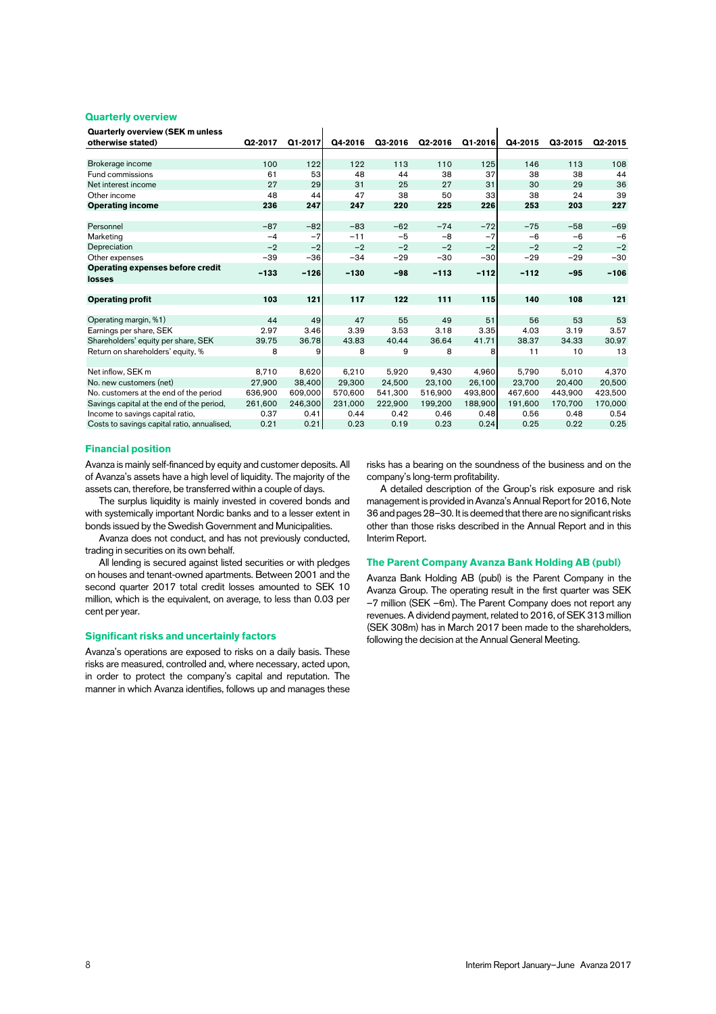#### **Quarterly overview**

**Quarterly overview (SEK m unless** 

| otherwise stated)                           | Q2-2017 | Q1-2017 | Q4-2016 | Q3-2016 | Q2-2016 | Q1-2016 | Q4-2015 | Q3-2015 | Q2-2015 |
|---------------------------------------------|---------|---------|---------|---------|---------|---------|---------|---------|---------|
|                                             |         |         |         |         |         |         |         |         |         |
| Brokerage income                            | 100     | 122     | 122     | 113     | 110     | 125     | 146     | 113     | 108     |
| Fund commissions                            | 61      | 53      | 48      | 44      | 38      | 37      | 38      | 38      | 44      |
| Net interest income                         | 27      | 29      | 31      | 25      | 27      | 31      | 30      | 29      | 36      |
| Other income                                | 48      | 44      | 47      | 38      | 50      | 33      | 38      | 24      | 39      |
| <b>Operating income</b>                     | 236     | 247     | 247     | 220     | 225     | 226     | 253     | 203     | 227     |
|                                             |         |         |         |         |         |         |         |         |         |
| Personnel                                   | $-87$   | $-82$   | $-83$   | $-62$   | $-74$   | $-72$   | $-75$   | $-58$   | $-69$   |
| Marketing                                   | $-4$    | $-7$    | $-11$   | $-5$    | $-8$    | $-7$    | $-6$    | $-6$    | $-6$    |
| Depreciation                                | $-2$    | $-2$    | $-2$    | $-2$    | $-2$    | $-2$    | $-2$    | $-2$    | $-2$    |
| Other expenses                              | $-39$   | $-36$   | $-34$   | $-29$   | $-30$   | $-30$   | $-29$   | $-29$   | $-30$   |
| <b>Operating expenses before credit</b>     | $-133$  | $-126$  | $-130$  | $-98$   | $-113$  | $-112$  | $-112$  | $-95$   | $-106$  |
| losses                                      |         |         |         |         |         |         |         |         |         |
|                                             |         |         |         |         |         |         |         |         |         |
| <b>Operating profit</b>                     | 103     | 121     | 117     | 122     | 111     | 115     | 140     | 108     | 121     |
|                                             |         |         |         |         |         |         |         |         |         |
| Operating margin, %1)                       | 44      | 49      | 47      | 55      | 49      | 51      | 56      | 53      | 53      |
| Earnings per share, SEK                     | 2.97    | 3.46    | 3.39    | 3.53    | 3.18    | 3.35    | 4.03    | 3.19    | 3.57    |
| Shareholders' equity per share, SEK         | 39.75   | 36.78   | 43.83   | 40.44   | 36.64   | 41.71   | 38.37   | 34.33   | 30.97   |
| Return on shareholders' equity, %           | 8       | 9       | 8       | 9       | 8       | 8       | 11      | 10      | 13      |
|                                             |         |         |         |         |         |         |         |         |         |
| Net inflow, SEK m                           | 8.710   | 8,620   | 6.210   | 5.920   | 9.430   | 4.960   | 5.790   | 5.010   | 4,370   |
| No. new customers (net)                     | 27.900  | 38.400  | 29,300  | 24.500  | 23.100  | 26.100  | 23.700  | 20.400  | 20,500  |
| No. customers at the end of the period      | 636,900 | 609,000 | 570.600 | 541.300 | 516.900 | 493,800 | 467.600 | 443.900 | 423.500 |
| Savings capital at the end of the period,   | 261,600 | 246,300 | 231,000 | 222,900 | 199,200 | 188,900 | 191,600 | 170,700 | 170,000 |
| Income to savings capital ratio,            | 0.37    | 0.41    | 0.44    | 0.42    | 0.46    | 0.48    | 0.56    | 0.48    | 0.54    |
| Costs to savings capital ratio, annualised, | 0.21    | 0.21    | 0.23    | 0.19    | 0.23    | 0.24    | 0.25    | 0.22    | 0.25    |

 $\blacksquare$ 

#### **Financial position**

Avanza is mainly self-financed by equity and customer deposits. All of Avanza's assets have a high level of liquidity. The majority of the assets can, therefore, be transferred within a couple of days.

The surplus liquidity is mainly invested in covered bonds and with systemically important Nordic banks and to a lesser extent in bonds issued by the Swedish Government and Municipalities.

Avanza does not conduct, and has not previously conducted, trading in securities on its own behalf.

All lending is secured against listed securities or with pledges on houses and tenant-owned apartments. Between 2001 and the second quarter 2017 total credit losses amounted to SEK 10 million, which is the equivalent, on average, to less than 0.03 per cent per year.

#### **Significant risks and uncertainly factors**

Avanza's operations are exposed to risks on a daily basis. These risks are measured, controlled and, where necessary, acted upon, in order to protect the company's capital and reputation. The manner in which Avanza identifies, follows up and manages these

risks has a bearing on the soundness of the business and on the company's long-term profitability.

 $\mathbf{I}$ 

A detailed description of the Group's risk exposure and risk management is provided in Avanza's Annual Report for 2016, Note 36 and pages 28–30. It is deemed that there are no significant risks other than those risks described in the Annual Report and in this Interim Report.

#### **The Parent Company Avanza Bank Holding AB (publ)**

Avanza Bank Holding AB (publ) is the Parent Company in the Avanza Group. The operating result in the first quarter was SEK –7 million (SEK –6m). The Parent Company does not report any revenues. A dividend payment, related to 2016, of SEK 313 million (SEK 308m) has in March 2017 been made to the shareholders, following the decision at the Annual General Meeting.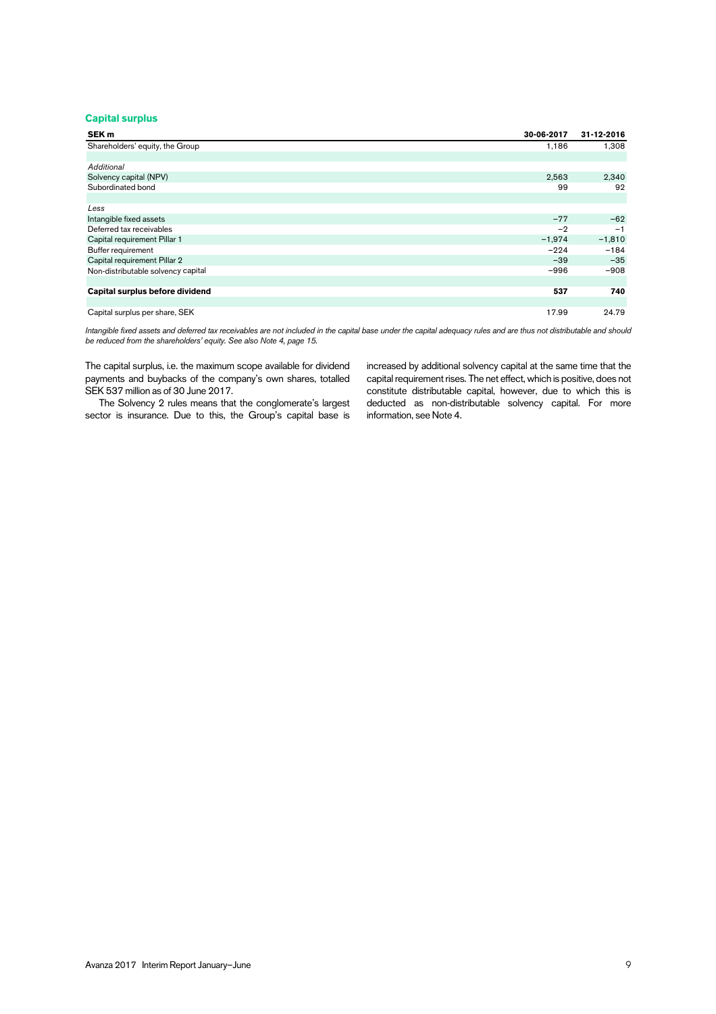#### **Capital surplus**

| SEK <sub>m</sub>                   | 30-06-2017 | 31-12-2016 |
|------------------------------------|------------|------------|
| Shareholders' equity, the Group    | 1,186      | 1,308      |
|                                    |            |            |
| <b>Additional</b>                  |            |            |
| Solvency capital (NPV)             | 2,563      | 2,340      |
| Subordinated bond                  | 99         | 92         |
|                                    |            |            |
| Less                               |            |            |
| Intangible fixed assets            | $-77$      | $-62$      |
| Deferred tax receivables           | $-2$       | $-1$       |
| Capital requirement Pillar 1       | $-1,974$   | $-1,810$   |
| Buffer requirement                 | $-224$     | $-184$     |
| Capital requirement Pillar 2       | $-39$      | $-35$      |
| Non-distributable solvency capital | $-996$     | $-908$     |
|                                    |            |            |
| Capital surplus before dividend    | 537        | 740        |
|                                    |            |            |
| Capital surplus per share, SEK     | 17.99      | 24.79      |

 *Intangible fixed assets and deferred tax receivables are not included in the capital base under the capital adequacy rules and are thus not distributable and should be reduced from the shareholders' equity. See also Note 4, page 15.* 

The capital surplus, i.e. the maximum scope available for dividend payments and buybacks of the company's own shares, totalled SEK 537 million as of 30 June 2017.

The Solvency 2 rules means that the conglomerate's largest sector is insurance. Due to this, the Group's capital base is increased by additional solvency capital at the same time that the capital requirement rises. The net effect, which is positive, does not constitute distributable capital, however, due to which this is deducted as non-distributable solvency capital. For more information, see Note 4.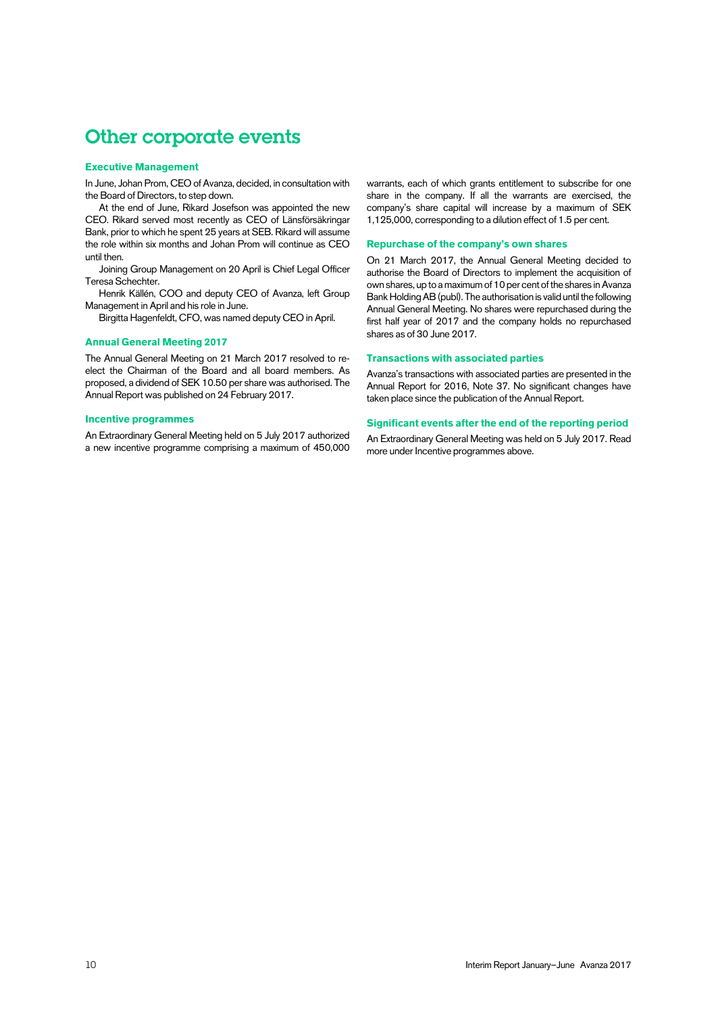### Other corporate events

#### **Executive Management**

In June, Johan Prom, CEO of Avanza, decided, in consultation with the Board of Directors, to step down.

At the end of June, Rikard Josefson was appointed the new CEO. Rikard served most recently as CEO of Länsförsäkringar Bank, prior to which he spent 25 years at SEB. Rikard will assume the role within six months and Johan Prom will continue as CEO until then.

Joining Group Management on 20 April is Chief Legal Officer Teresa Schechter.

Henrik Källén, COO and deputy CEO of Avanza, left Group Management in April and his role in June.

Birgitta Hagenfeldt, CFO, was named deputy CEO in April.

#### **Annual General Meeting 2017**

The Annual General Meeting on 21 March 2017 resolved to reelect the Chairman of the Board and all board members. As proposed, a dividend of SEK 10.50 per share was authorised. The Annual Report was published on 24 February 2017.

#### **Incentive programmes**

An Extraordinary General Meeting held on 5 July 2017 authorized a new incentive programme comprising a maximum of 450,000 warrants, each of which grants entitlement to subscribe for one share in the company. If all the warrants are exercised, the company's share capital will increase by a maximum of SEK 1,125,000, corresponding to a dilution effect of 1.5 per cent.

#### **Repurchase of the company's own shares**

On 21 March 2017, the Annual General Meeting decided to authorise the Board of Directors to implement the acquisition of own shares, up to a maximum of 10 per cent of the shares in Avanza Bank Holding AB (publ). The authorisation is valid until the following Annual General Meeting. No shares were repurchased during the first half year of 2017 and the company holds no repurchased shares as of 30 June 2017.

#### **Transactions with associated parties**

Avanza's transactions with associated parties are presented in the Annual Report for 2016, Note 37. No significant changes have taken place since the publication of the Annual Report.

#### **Significant events after the end of the reporting period**

An Extraordinary General Meeting was held on 5 July 2017. Read more under Incentive programmes above.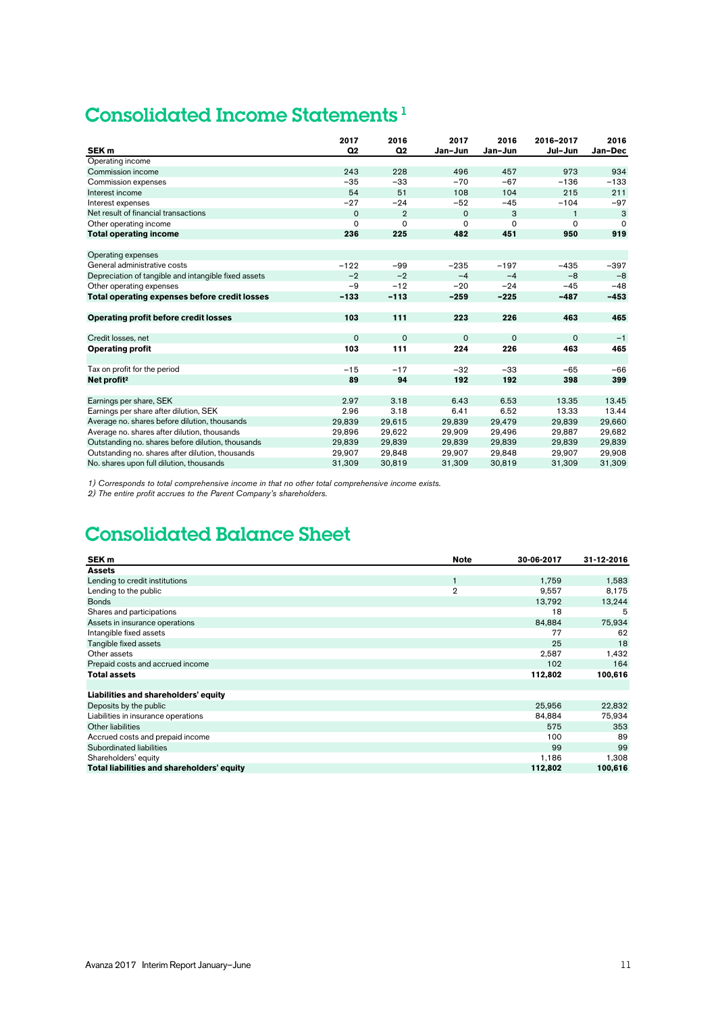### Consolidated Income Statements 1

| SEK <sub>m</sub>                                     | 2017<br>Q <sub>2</sub> | 2016<br>Q <sub>2</sub> | 2017<br>Jan-Jun | 2016<br>Jan-Jun | 2016-2017<br>Jul-Jun | 2016<br>Jan-Dec |
|------------------------------------------------------|------------------------|------------------------|-----------------|-----------------|----------------------|-----------------|
| Operating income                                     |                        |                        |                 |                 |                      |                 |
| Commission income                                    | 243                    | 228                    | 496             | 457             | 973                  | 934             |
| Commission expenses                                  | $-35$                  | $-33$                  | $-70$           | $-67$           | $-136$               | $-133$          |
| Interest income                                      | 54                     | 51                     | 108             | 104             | 215                  | 211             |
| Interest expenses                                    | $-27$                  | $-24$                  | $-52$           | $-45$           | $-104$               | $-97$           |
| Net result of financial transactions                 | $\mathbf 0$            | $\overline{2}$         | $\mathbf 0$     | 3               | $\mathbf{1}$         | 3               |
| Other operating income                               | $\Omega$               | $\Omega$               | $\Omega$        | $\Omega$        | $\Omega$             | $\Omega$        |
| <b>Total operating income</b>                        | 236                    | 225                    | 482             | 451             | 950                  | 919             |
|                                                      |                        |                        |                 |                 |                      |                 |
| Operating expenses                                   |                        |                        |                 |                 |                      |                 |
| General administrative costs                         | $-122$                 | $-99$                  | $-235$          | $-197$          | $-435$               | $-397$          |
| Depreciation of tangible and intangible fixed assets | $-2$                   | $-2$                   | $-4$            | $-4$            | $-8$                 | $-8$            |
| Other operating expenses                             | $-9$                   | $-12$                  | $-20$           | $-24$           | $-45$                | $-48$           |
| Total operating expenses before credit losses        | $-133$                 | $-113$                 | $-259$          | $-225$          | $-487$               | $-453$          |
|                                                      |                        |                        |                 |                 |                      |                 |
| <b>Operating profit before credit losses</b>         | 103                    | 111                    | 223             | 226             | 463                  | 465             |
|                                                      |                        |                        |                 |                 |                      |                 |
| Credit losses, net                                   | $\mathbf 0$            | $\mathbf 0$            | $\mathbf 0$     | $\mathbf 0$     | $\mathbf 0$          | $-1$            |
| <b>Operating profit</b>                              | 103                    | 111                    | 224             | 226             | 463                  | 465             |
|                                                      |                        |                        |                 |                 |                      |                 |
| Tax on profit for the period                         | $-15$                  | $-17$                  | $-32$           | $-33$           | $-65$                | $-66$           |
| Net profit <sup>2</sup>                              | 89                     | 94                     | 192             | 192             | 398                  | 399             |
|                                                      |                        |                        |                 |                 |                      |                 |
| Earnings per share, SEK                              | 2.97                   | 3.18                   | 6.43            | 6.53            | 13.35                | 13.45           |
| Earnings per share after dilution, SEK               | 2.96                   | 3.18                   | 6.41            | 6.52            | 13.33                | 13.44           |
| Average no. shares before dilution, thousands        | 29,839                 | 29,615                 | 29,839          | 29,479          | 29.839               | 29,660          |
| Average no. shares after dilution, thousands         | 29,896                 | 29,622                 | 29,909          | 29,496          | 29,887               | 29,682          |
| Outstanding no. shares before dilution, thousands    | 29.839                 | 29,839                 | 29,839          | 29,839          | 29.839               | 29,839          |
| Outstanding no. shares after dilution, thousands     | 29.907                 | 29.848                 | 29.907          | 29.848          | 29.907               | 29,908          |
| No. shares upon full dilution, thousands             | 31.309                 | 30.819                 | 31.309          | 30.819          | 31.309               | 31.309          |

*1) Corresponds to total comprehensive income in that no other total comprehensive income exists.*

*2) The entire profit accrues to the Parent Company's shareholders.*

### Consolidated Balance Sheet

| SEK <sub>m</sub>                           | <b>Note</b>    | 30-06-2017 | 31-12-2016 |
|--------------------------------------------|----------------|------------|------------|
| <b>Assets</b>                              |                |            |            |
| Lending to credit institutions             |                | 1,759      | 1,583      |
| Lending to the public                      | $\overline{2}$ | 9,557      | 8,175      |
| <b>Bonds</b>                               |                | 13.792     | 13,244     |
| Shares and participations                  |                | 18         | 5          |
| Assets in insurance operations             |                | 84,884     | 75,934     |
| Intangible fixed assets                    |                | 77         | 62         |
| Tangible fixed assets                      |                | 25         | 18         |
| Other assets                               |                | 2,587      | 1,432      |
| Prepaid costs and accrued income           |                | 102        | 164        |
| <b>Total assets</b>                        |                | 112,802    | 100,616    |
|                                            |                |            |            |
| Liabilities and shareholders' equity       |                |            |            |
| Deposits by the public                     |                | 25.956     | 22,832     |
| Liabilities in insurance operations        |                | 84,884     | 75,934     |
| Other liabilities                          |                | 575        | 353        |
| Accrued costs and prepaid income           |                | 100        | 89         |
| Subordinated liabilities                   |                | 99         | 99         |
| Shareholders' equity                       |                | 1,186      | 1,308      |
| Total liabilities and shareholders' equity |                | 112,802    | 100,616    |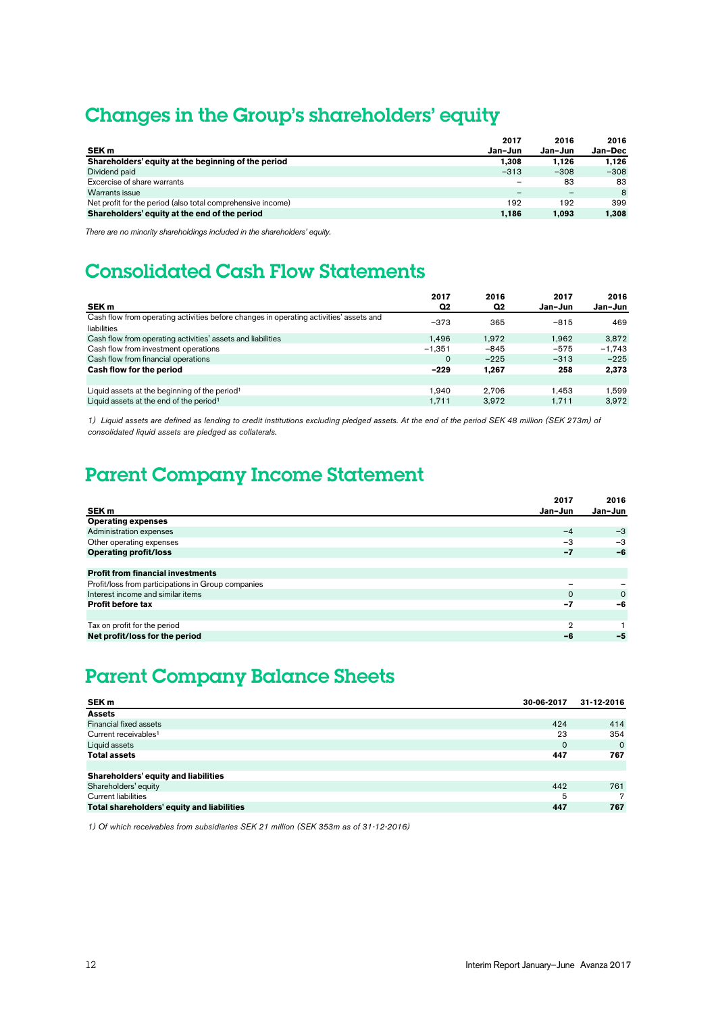### Changes in the Group's shareholders' equity

|                                                             | 2017                     | 2016                     | 2016    |
|-------------------------------------------------------------|--------------------------|--------------------------|---------|
| SEK <sub>m</sub>                                            | Jan-Jun                  | Jan-Jun                  | Jan-Dec |
| Shareholders' equity at the beginning of the period         | 1.308                    | 1.126                    | 1.126   |
| Dividend paid                                               | $-313$                   | $-308$                   | $-308$  |
| Excercise of share warrants                                 | $\overline{\phantom{m}}$ | 83                       | 83      |
| Warrants issue                                              | -                        | $\overline{\phantom{a}}$ | 8       |
| Net profit for the period (also total comprehensive income) | 192                      | 192                      | 399     |
| Shareholders' equity at the end of the period               | 1.186                    | 1.093                    | 1,308   |

*There are no minority shareholdings included in the shareholders' equity.* 

### Consolidated Cash Flow Statements

|                                                                                                       | 2017     | 2016           | 2017    | 2016     |
|-------------------------------------------------------------------------------------------------------|----------|----------------|---------|----------|
| SEK <sub>m</sub>                                                                                      | Q2       | Q <sub>2</sub> | Jan-Jun | Jan-Jun  |
| Cash flow from operating activities before changes in operating activities' assets and<br>liabilities | $-373$   | 365            | $-815$  | 469      |
| Cash flow from operating activities' assets and liabilities                                           | 1.496    | 1.972          | 1.962   | 3,872    |
| Cash flow from investment operations                                                                  | $-1.351$ | $-845$         | $-575$  | $-1.743$ |
| Cash flow from financial operations                                                                   | $\Omega$ | $-225$         | $-313$  | $-225$   |
| Cash flow for the period                                                                              | $-229$   | 1.267          | 258     | 2,373    |
|                                                                                                       |          |                |         |          |
| Liquid assets at the beginning of the period <sup>1</sup>                                             | 1.940    | 2.706          | 1.453   | 1.599    |
| Liquid assets at the end of the period <sup>1</sup>                                                   | 1.711    | 3.972          | 1.711   | 3.972    |

1) Liquid assets are defined as lending to credit institutions excluding pledged assets. At the end of the period SEK 48 million (SEK 273m) of *consolidated liquid assets are pledged as collaterals.*

### Parent Company Income Statement

|                                                    | 2017     | 2016        |
|----------------------------------------------------|----------|-------------|
| SEK <sub>m</sub>                                   | Jan-Jun  | Jan-Jun     |
| <b>Operating expenses</b>                          |          |             |
| Administration expenses                            | $-4$     | $-3$        |
| Other operating expenses                           | -3       | $-3$        |
| <b>Operating profit/loss</b>                       | $-7$     | $-6$        |
|                                                    |          |             |
| <b>Profit from financial investments</b>           |          |             |
| Profit/loss from participations in Group companies |          |             |
| Interest income and similar items                  | $\Omega$ | $\mathbf 0$ |
| <b>Profit before tax</b>                           | $-7$     | -6          |
|                                                    |          |             |
| Tax on profit for the period                       | 2        |             |
| Net profit/loss for the period                     | -6       | -5          |
|                                                    |          |             |

### Parent Company Balance Sheets

| SEK <sub>m</sub>                           | 30-06-2017  | 31-12-2016 |
|--------------------------------------------|-------------|------------|
| <b>Assets</b>                              |             |            |
| Financial fixed assets                     | 424         | 414        |
| Current receivables <sup>1</sup>           | 23          | 354        |
| Liquid assets                              | $\mathbf 0$ | $\Omega$   |
| <b>Total assets</b>                        | 447         | 767        |
|                                            |             |            |
| Shareholders' equity and liabilities       |             |            |
| Shareholders' equity                       | 442         | 761        |
| <b>Current liabilities</b>                 | 5           | 7          |
| Total shareholders' equity and liabilities | 447         | 767        |

*1) Of which receivables from subsidiaries SEK 21 million (SEK 353m as of 31-12-2016)*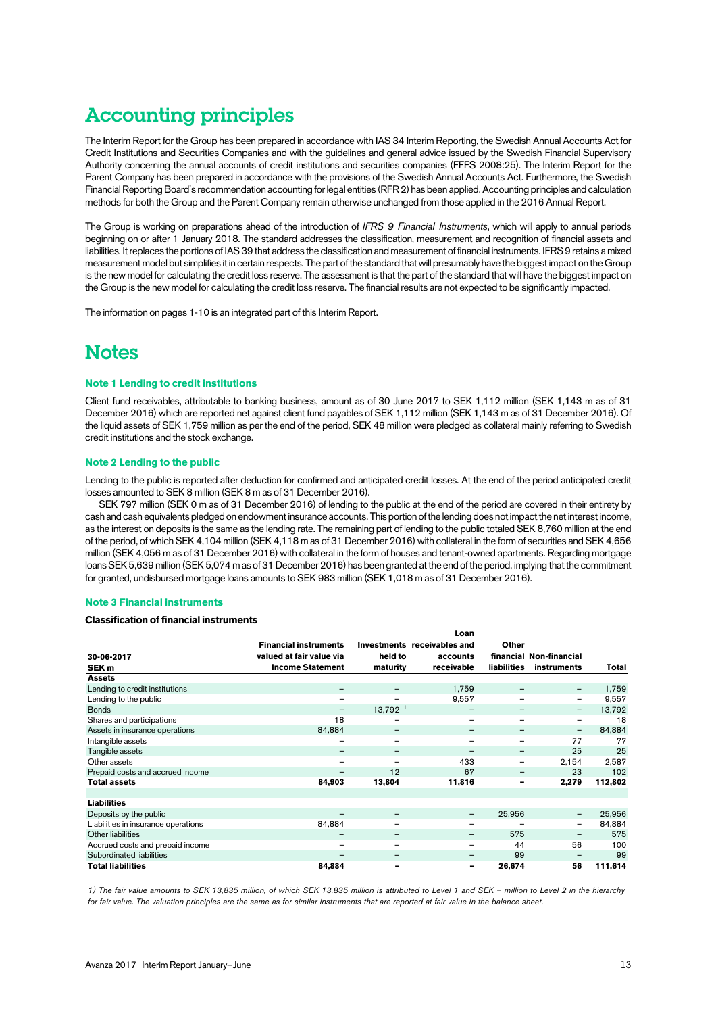### Accounting principles

The Interim Report for the Group has been prepared in accordance with IAS 34 Interim Reporting, the Swedish Annual Accounts Act for Credit Institutions and Securities Companies and with the guidelines and general advice issued by the Swedish Financial Supervisory Authority concerning the annual accounts of credit institutions and securities companies (FFFS 2008:25). The Interim Report for the Parent Company has been prepared in accordance with the provisions of the Swedish Annual Accounts Act. Furthermore, the Swedish Financial Reporting Board's recommendation accounting for legal entities (RFR 2) has been applied. Accounting principles and calculation methods for both the Group and the Parent Company remain otherwise unchanged from those applied in the 2016 Annual Report.

The Group is working on preparations ahead of the introduction of *IFRS 9 Financial Instruments*, which will apply to annual periods beginning on or after 1 January 2018. The standard addresses the classification, measurement and recognition of financial assets and liabilities. It replaces the portions of IAS 39 that address the classification and measurement of financial instruments. IFRS 9 retains a mixed measurement model but simplifies it in certain respects. The part of the standard that will presumably have the biggest impact on the Group is the new model for calculating the credit loss reserve. The assessment is that the part of the standard that will have the biggest impact on the Group is the new model for calculating the credit loss reserve. The financial results are not expected to be significantly impacted.

The information on pages 1-10 is an integrated part of this Interim Report.

### **Notes**

#### **Note 1 Lending to credit institutions**

Client fund receivables, attributable to banking business, amount as of 30 June 2017 to SEK 1,112 million (SEK 1,143 m as of 31 December 2016) which are reported net against client fund payables of SEK 1,112 million (SEK 1,143 m as of 31 December 2016). Of the liquid assets of SEK 1,759 million as per the end of the period, SEK 48 million were pledged as collateral mainly referring to Swedish credit institutions and the stock exchange.

#### **Note 2 Lending to the public**

Lending to the public is reported after deduction for confirmed and anticipated credit losses. At the end of the period anticipated credit losses amounted to SEK 8 million (SEK 8 m as of 31 December 2016).

SEK 797 million (SEK 0 m as of 31 December 2016) of lending to the public at the end of the period are covered in their entirety by cash and cash equivalents pledged on endowment insurance accounts. This portion of the lending does not impact the net interest income, as the interest on deposits is the same as the lending rate. The remaining part of lending to the public totaled SEK 8,760 million at the end of the period, of which SEK 4,104 million (SEK 4,118 m as of 31 December 2016) with collateral in the form of securities and SEK 4,656 million (SEK 4,056 m as of 31 December 2016) with collateral in the form of houses and tenant-owned apartments. Regarding mortgage loans SEK 5,639 million (SEK 5,074 m as of 31 December 2016) has been granted at the end of the period, implying that the commitment for granted, undisbursed mortgage loans amounts to SEK 983 million (SEK 1,018 m as of 31 December 2016).

#### **Note 3 Financial instruments**

#### **Classification of financial instruments**

| 30-06-2017<br>SEK <sub>m</sub>      | <b>Financial instruments</b><br>valued at fair value via<br><b>Income Statement</b> | held to<br>maturity      | Loan<br>Investments receivables and<br>accounts<br>receivable | <b>Other</b><br><b>liabilities</b> | financial Non-financial<br>instruments | Total   |
|-------------------------------------|-------------------------------------------------------------------------------------|--------------------------|---------------------------------------------------------------|------------------------------------|----------------------------------------|---------|
| <b>Assets</b>                       |                                                                                     |                          |                                                               |                                    |                                        |         |
| Lending to credit institutions      | $\qquad \qquad -$                                                                   |                          | 1,759                                                         | $\overline{\phantom{m}}$           | $\qquad \qquad -$                      | 1,759   |
| Lending to the public               | $\overline{\phantom{m}}$                                                            | $\overline{\phantom{m}}$ | 9,557                                                         | -                                  | $\overline{\phantom{m}}$               | 9,557   |
| <b>Bonds</b>                        | $\overline{\phantom{m}}$                                                            | 13,792 <sup>1</sup>      | -                                                             | -                                  | $\qquad \qquad -$                      | 13,792  |
| Shares and participations           | 18                                                                                  | $\overline{\phantom{0}}$ | $\qquad \qquad$                                               |                                    | $\overline{\phantom{m}}$               | 18      |
| Assets in insurance operations      | 84,884                                                                              | $\overline{\phantom{m}}$ | -                                                             |                                    | $\qquad \qquad -$                      | 84,884  |
| Intangible assets                   | -                                                                                   |                          | $\overline{\phantom{0}}$                                      | -                                  | 77                                     | 77      |
| Tangible assets                     | $\overline{\phantom{m}}$                                                            | $\overline{\phantom{m}}$ | $\overline{\phantom{m}}$                                      | $\qquad \qquad -$                  | 25                                     | 25      |
| Other assets                        | $\overline{\phantom{m}}$                                                            | $\overline{\phantom{a}}$ | 433                                                           | $\overline{\phantom{m}}$           | 2.154                                  | 2,587   |
| Prepaid costs and accrued income    | $\overline{\phantom{0}}$                                                            | 12                       | 67                                                            | -                                  | 23                                     | 102     |
| <b>Total assets</b>                 | 84,903                                                                              | 13,804                   | 11,816                                                        | ۰                                  | 2,279                                  | 112,802 |
|                                     |                                                                                     |                          |                                                               |                                    |                                        |         |
| <b>Liabilities</b>                  |                                                                                     |                          |                                                               |                                    |                                        |         |
| Deposits by the public              | -                                                                                   | $\overline{\phantom{m}}$ | $\overline{\phantom{m}}$                                      | 25,956                             | -                                      | 25,956  |
| Liabilities in insurance operations | 84,884                                                                              | $\overline{\phantom{0}}$ | $\qquad \qquad$                                               |                                    | $\qquad \qquad -$                      | 84,884  |
| Other liabilities                   | -                                                                                   | $\overline{\phantom{m}}$ | -                                                             | 575                                | $\qquad \qquad -$                      | 575     |
| Accrued costs and prepaid income    | $\overline{\phantom{m}}$                                                            |                          | $\overline{\phantom{0}}$                                      | 44                                 | 56                                     | 100     |
| Subordinated liabilities            | -                                                                                   | $\overline{\phantom{m}}$ | -                                                             | 99                                 |                                        | 99      |
| <b>Total liabilities</b>            | 84,884                                                                              |                          | -                                                             | 26,674                             | 56                                     | 111,614 |

*1) The fair value amounts to SEK 13,835 million, of which SEK 13,835 million is attributed to Level 1 and SEK – million to Level 2 in the hierarchy for fair value. The valuation principles are the same as for similar instruments that are reported at fair value in the balance sheet.*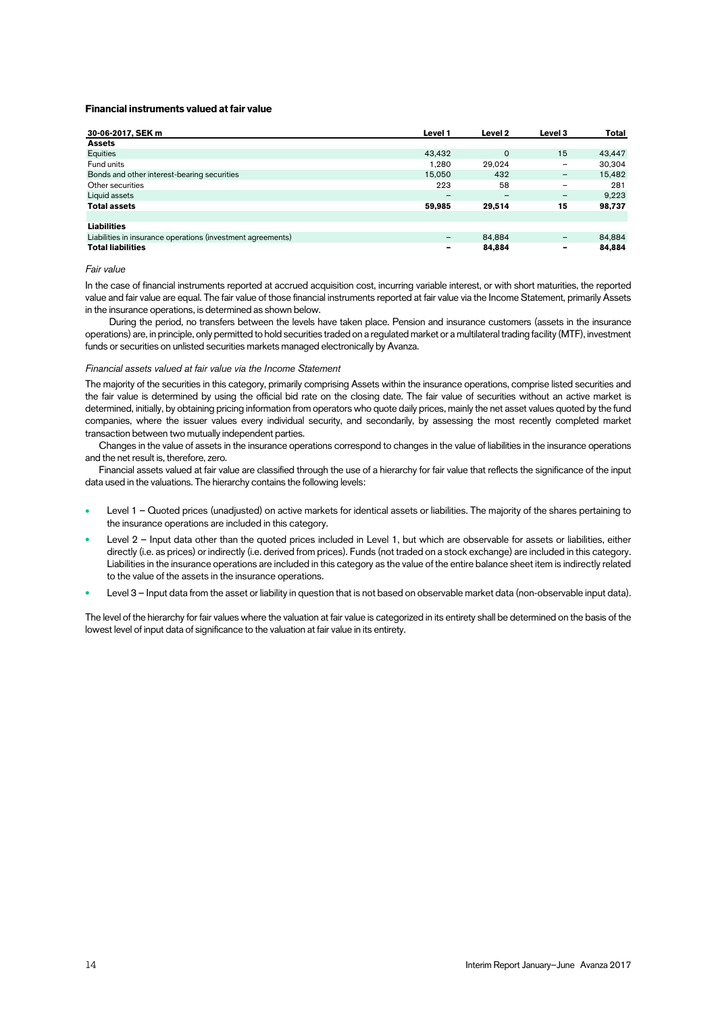#### **Financial instruments valued at fair value**

| 30-06-2017, SEK m                                           | Level 1                  | Level 2  | Level 3                  | <b>Total</b> |
|-------------------------------------------------------------|--------------------------|----------|--------------------------|--------------|
| <b>Assets</b>                                               |                          |          |                          |              |
| Equities                                                    | 43.432                   | $\Omega$ | 15                       | 43.447       |
| Fund units                                                  | 1.280                    | 29.024   | -                        | 30,304       |
| Bonds and other interest-bearing securities                 | 15.050                   | 432      | -                        | 15.482       |
| Other securities                                            | 223                      | 58       | $\overline{\phantom{0}}$ | 281          |
| Liquid assets                                               | $\overline{\phantom{0}}$ | -        | -                        | 9.223        |
| <b>Total assets</b>                                         | 59,985                   | 29,514   | 15                       | 98,737       |
|                                                             |                          |          |                          |              |
| <b>Liabilities</b>                                          |                          |          |                          |              |
| Liabilities in insurance operations (investment agreements) | -                        | 84.884   |                          | 84,884       |
| <b>Total liabilities</b>                                    | ۰                        | 84,884   | ۰                        | 84.884       |

#### *Fair value*

In the case of financial instruments reported at accrued acquisition cost, incurring variable interest, or with short maturities, the reported value and fair value are equal. The fair value of those financial instruments reported at fair value via the Income Statement, primarily Assets in the insurance operations, is determined as shown below.

During the period, no transfers between the levels have taken place. Pension and insurance customers (assets in the insurance operations) are, in principle, only permitted to hold securities traded on a regulated market or a multilateral trading facility (MTF), investment funds or securities on unlisted securities markets managed electronically by Avanza.

#### *Financial assets valued at fair value via the Income Statement*

The majority of the securities in this category, primarily comprising Assets within the insurance operations, comprise listed securities and the fair value is determined by using the official bid rate on the closing date. The fair value of securities without an active market is determined, initially, by obtaining pricing information from operators who quote daily prices, mainly the net asset values quoted by the fund companies, where the issuer values every individual security, and secondarily, by assessing the most recently completed market transaction between two mutually independent parties.

Changes in the value of assets in the insurance operations correspond to changes in the value of liabilities in the insurance operations and the net result is, therefore, zero.

Financial assets valued at fair value are classified through the use of a hierarchy for fair value that reflects the significance of the input data used in the valuations. The hierarchy contains the following levels:

- Level 1 Quoted prices (unadjusted) on active markets for identical assets or liabilities. The majority of the shares pertaining to the insurance operations are included in this category.
- Level 2 Input data other than the quoted prices included in Level 1, but which are observable for assets or liabilities, either directly (i.e. as prices) or indirectly (i.e. derived from prices). Funds (not traded on a stock exchange) are included in this category. Liabilities in the insurance operations are included in this category as the value of the entire balance sheet item is indirectly related to the value of the assets in the insurance operations.
- Level 3 Input data from the asset or liability in question that is not based on observable market data (non-observable input data).

The level of the hierarchy for fair values where the valuation at fair value is categorized in its entirety shall be determined on the basis of the lowest level of input data of significance to the valuation at fair value in its entirety.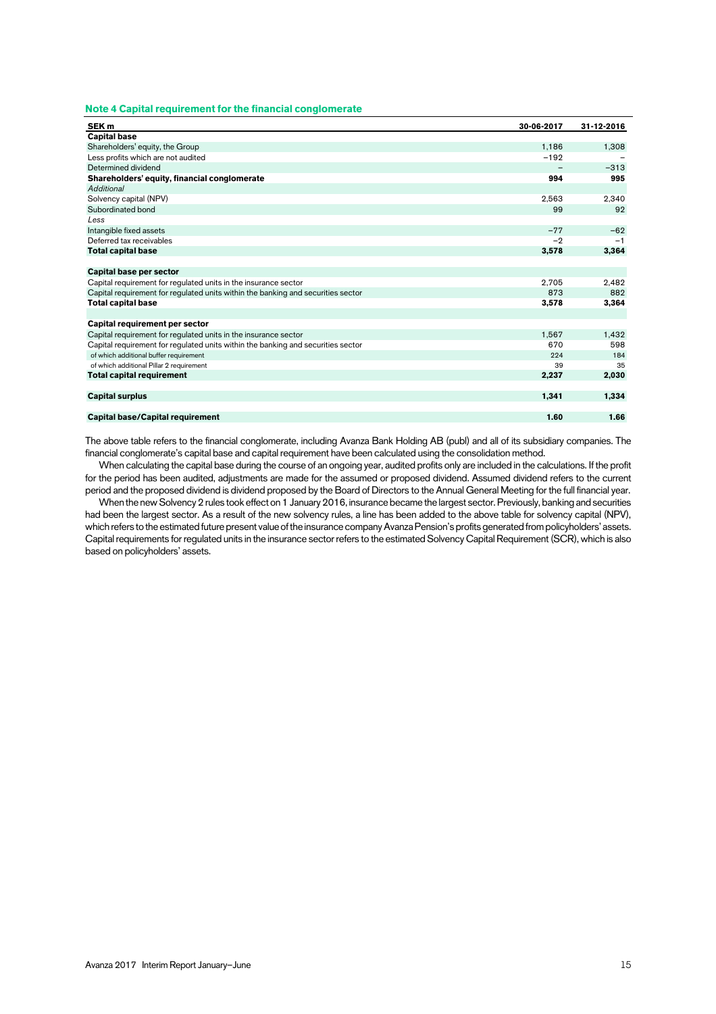#### **Note 4 Capital requirement for the financial conglomerate**

| SEK <sub>m</sub>                                                                 | 30-06-2017 | 31-12-2016 |
|----------------------------------------------------------------------------------|------------|------------|
| <b>Capital base</b>                                                              |            |            |
| Shareholders' equity, the Group                                                  | 1,186      | 1,308      |
| Less profits which are not audited                                               | $-192$     |            |
| Determined dividend                                                              |            | $-313$     |
| Shareholders' equity, financial conglomerate                                     | 994        | 995        |
| Additional                                                                       |            |            |
| Solvency capital (NPV)                                                           | 2.563      | 2,340      |
| Subordinated bond                                                                | 99         | 92         |
| Less                                                                             |            |            |
| Intangible fixed assets                                                          | $-77$      | $-62$      |
| Deferred tax receivables                                                         | $-2$       | $-1$       |
| <b>Total capital base</b>                                                        | 3,578      | 3,364      |
|                                                                                  |            |            |
| Capital base per sector                                                          |            |            |
| Capital requirement for regulated units in the insurance sector                  | 2,705      | 2,482      |
| Capital requirement for regulated units within the banking and securities sector | 873        | 882        |
| <b>Total capital base</b>                                                        | 3.578      | 3,364      |
|                                                                                  |            |            |
| Capital requirement per sector                                                   |            |            |
| Capital requirement for regulated units in the insurance sector                  | 1,567      | 1,432      |
| Capital requirement for regulated units within the banking and securities sector | 670        | 598        |
| of which additional buffer requirement                                           | 224        | 184        |
| of which additional Pillar 2 requirement                                         | 39         | 35         |
| <b>Total capital requirement</b>                                                 | 2,237      | 2,030      |
|                                                                                  |            |            |
| <b>Capital surplus</b>                                                           | 1.341      | 1,334      |
|                                                                                  |            |            |
| Capital base/Capital requirement                                                 | 1.60       | 1.66       |

The above table refers to the financial conglomerate, including Avanza Bank Holding AB (publ) and all of its subsidiary companies. The financial conglomerate's capital base and capital requirement have been calculated using the consolidation method.

When calculating the capital base during the course of an ongoing year, audited profits only are included in the calculations. If the profit for the period has been audited, adjustments are made for the assumed or proposed dividend. Assumed dividend refers to the current period and the proposed dividend is dividend proposed by the Board of Directors to the Annual General Meeting for the full financial year.

When the new Solvency 2 rules took effect on 1 January 2016, insurance became the largest sector. Previously, banking and securities had been the largest sector. As a result of the new solvency rules, a line has been added to the above table for solvency capital (NPV), which refers to the estimated future present value of the insurance company Avanza Pension's profits generated from policyholders' assets. Capital requirements for regulated units in the insurance sector refers to the estimated Solvency Capital Requirement (SCR), which is also based on policyholders' assets.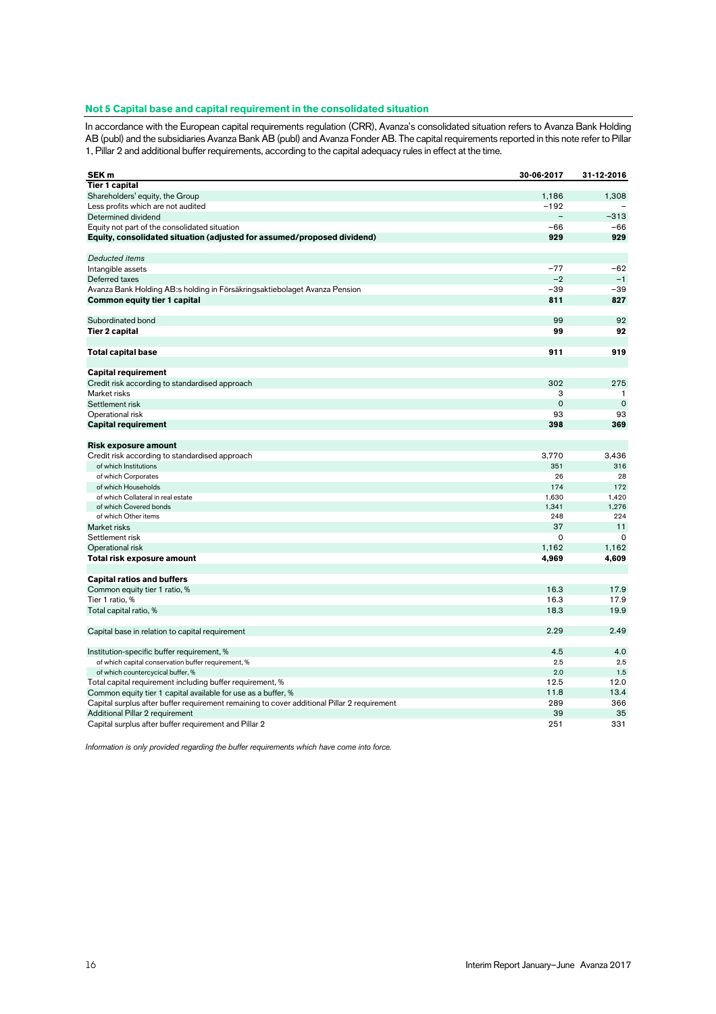#### **Not 5 Capital base and capital requirement in the consolidated situation**

In accordance with the European capital requirements regulation (CRR), Avanza's consolidated situation refers to Avanza Bank Holding AB (publ) and the subsidiaries Avanza Bank AB (publ) and Avanza Fonder AB. The capital requirements reported in this note refer to Pillar 1, Pillar 2 and additional buffer requirements, according to the capital adequacy rules in effect at the time.

| SEK <sub>m</sub>                                                                            | 30-06-2017  | 31-12-2016   |
|---------------------------------------------------------------------------------------------|-------------|--------------|
| <b>Tier 1 capital</b>                                                                       |             |              |
| Shareholders' equity, the Group                                                             | 1,186       | 1.308        |
| Less profits which are not audited                                                          | $-192$      |              |
| Determined dividend                                                                         |             | $-313$       |
| Equity not part of the consolidated situation                                               | $-66$       | $-66$        |
| Equity, consolidated situation (adjusted for assumed/proposed dividend)                     | 929         | 929          |
|                                                                                             |             |              |
| Deducted items                                                                              |             |              |
| Intangible assets                                                                           | $-77$       | $-62$        |
| Deferred taxes                                                                              | $-2$        | $-1$         |
| Avanza Bank Holding AB:s holding in Försäkringsaktiebolaget Avanza Pension                  | $-39$       | $-39$        |
| Common equity tier 1 capital                                                                | 811         | 827          |
|                                                                                             |             |              |
| Subordinated bond                                                                           | 99          | 92           |
| <b>Tier 2 capital</b>                                                                       | 99          | 92           |
|                                                                                             |             |              |
| <b>Total capital base</b>                                                                   | 911         | 919          |
|                                                                                             |             |              |
| <b>Capital requirement</b>                                                                  |             |              |
| Credit risk according to standardised approach                                              | 302         | 275          |
| Market risks                                                                                | 3           | $\mathbf{1}$ |
| Settlement risk                                                                             | $\mathbf 0$ | $\mathbf 0$  |
| Operational risk                                                                            | 93          | 93           |
| <b>Capital requirement</b>                                                                  | 398         | 369          |
|                                                                                             |             |              |
| Risk exposure amount                                                                        |             |              |
| Credit risk according to standardised approach                                              | 3,770       | 3,436        |
| of which Institutions                                                                       | 351         | 316          |
| of which Corporates                                                                         | 26          | 28           |
| of which Households                                                                         | 174         | 172          |
| of which Collateral in real estate                                                          | 1,630       | 1,420        |
| of which Covered bonds                                                                      | 1,341       | 1,276        |
| of which Other items                                                                        | 248         | 224          |
| Market risks                                                                                | 37          | 11           |
| Settlement risk                                                                             | $\Omega$    | $\Omega$     |
| Operational risk                                                                            | 1,162       | 1,162        |
| Total risk exposure amount                                                                  | 4,969       | 4,609        |
|                                                                                             |             |              |
| <b>Capital ratios and buffers</b>                                                           |             |              |
| Common equity tier 1 ratio, %                                                               | 16.3        | 17.9         |
| Tier 1 ratio, %                                                                             | 16.3        | 17.9         |
| Total capital ratio, %                                                                      | 18.3        | 19.9         |
|                                                                                             |             |              |
|                                                                                             | 2.29        | 2.49         |
| Capital base in relation to capital requirement                                             |             |              |
|                                                                                             | 4.5         | 4.0          |
| Institution-specific buffer requirement, %                                                  |             | 2.5          |
| of which capital conservation buffer requirement, %                                         | 2.5<br>2.0  | 1.5          |
| of which countercycical buffer, %                                                           | 12.5        | 12.0         |
| Total capital requirement including buffer requirement, %                                   |             |              |
| Common equity tier 1 capital available for use as a buffer, %                               | 11.8        | 13.4         |
| Capital surplus after buffer requirement remaining to cover additional Pillar 2 requirement | 289         | 366          |
| Additional Pillar 2 requirement                                                             | 39          | 35           |
| Capital surplus after buffer requirement and Pillar 2                                       | 251         | 331          |

*Information is only provided regarding the buffer requirements which have come into force.*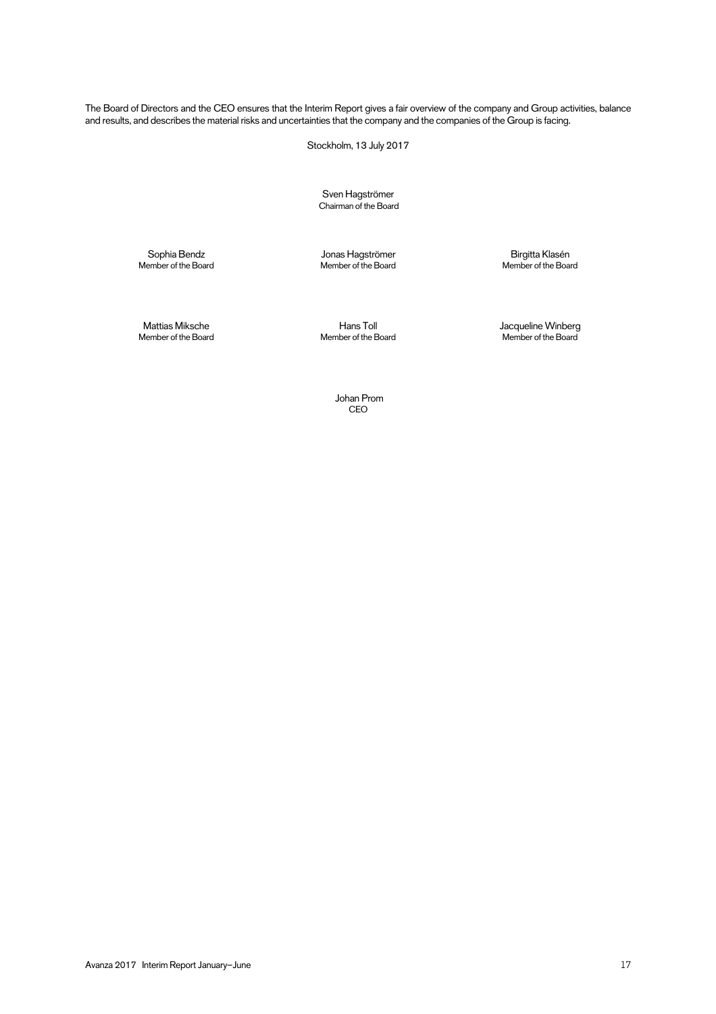The Board of Directors and the CEO ensures that the Interim Report gives a fair overview of the company and Group activities, balance and results, and describes the material risks and uncertainties that the company and the companies of the Group is facing.

Stockholm, 13 July 2017

Sven Hagströmer Chairman of the Board

Member of the Board Member of the Board Member of the Board

Sophia Bendz Jonas Hagströmer Birgitta Klasén

Member of the Board Member of the Board Member of the Board

Mattias Miksche Hans Toll Jacqueline Winberg

 Johan Prom CEO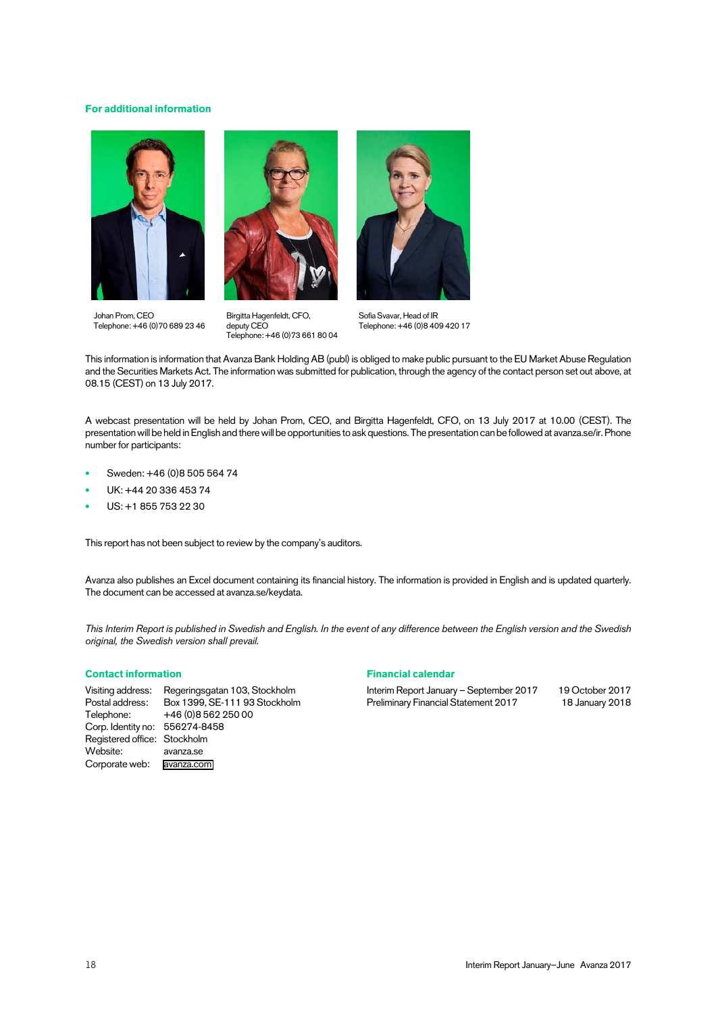#### **For additional information**





Johan Prom, CEO Telephone: +46 (0)70 689 23 46

Birgitta Hagenfeldt, CFO, deputy CEO Telephone: +46 (0)73 661 80 04



Sofia Svavar, Head of IR Telephone: +46 (0)8 409 420 17

This information is information that Avanza Bank Holding AB (publ) is obliged to make public pursuant to the EU Market Abuse Regulation and the Securities Markets Act. The information was submitted for publication, through the agency of the contact person set out above, at 08.15 (CEST) on 13 July 2017.

A webcast presentation will be held by Johan Prom, CEO, and Birgitta Hagenfeldt, CFO, on 13 July 2017 at 10.00 (CEST). The presentation will be held in English and there will be opportunities to ask questions. The presentation can be followed at avanza.se/ir. Phone number for participants:

- Sweden: +46 (0)8 505 564 74
- UK: +44 20 336 453 74
- US: +1 855 753 22 30

This report has not been subject to review by the company's auditors.

Avanza also publishes an Excel document containing its financial history. The information is provided in English and is updated quarterly. The document can be accessed at [avanza.se/keydata.](http://avanza.se/keydata)

*This Interim Report is published in Swedish and English. In the event of any difference between the English version and the Swedish original, the Swedish version shall prevail.* 

#### **Contact information**

Visiting address: Regeringsgatan 103, Stockholm<br>Postal address: Box 1399, SE-111 93 Stockholm Box 1399, SE-111 93 Stockholm Telephone: +46 (0) 8 562 250 00 Corp. Identity no: 556274-8458 Registered office: Stockholm Website: [avanza.se](https://www.avanza.se)  Corporate web: [avanza.com](http://investors.avanza.se/en) 

#### **Financial calendar**

Interim Report January – September 2017 19 October 2017 Preliminary Financial Statement 2017